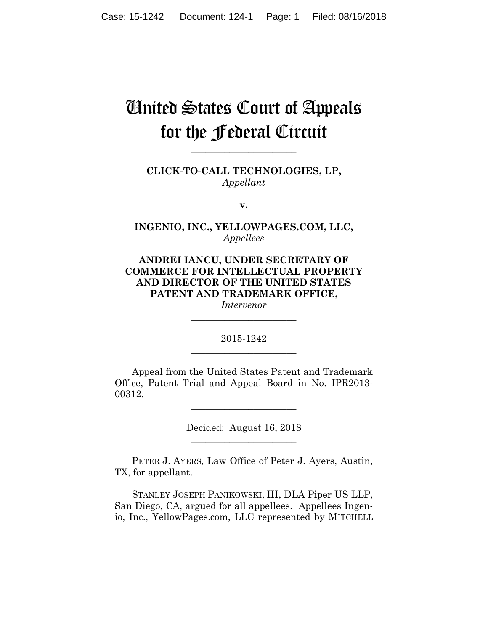# United States Court of Appeals for the Federal Circuit

**CLICK-TO-CALL TECHNOLOGIES, LP,** *Appellant*

**\_\_\_\_\_\_\_\_\_\_\_\_\_\_\_\_\_\_\_\_\_\_** 

**v.**

**INGENIO, INC., YELLOWPAGES.COM, LLC,** *Appellees*

**ANDREI IANCU, UNDER SECRETARY OF COMMERCE FOR INTELLECTUAL PROPERTY AND DIRECTOR OF THE UNITED STATES PATENT AND TRADEMARK OFFICE,**

*Intervenor* **\_\_\_\_\_\_\_\_\_\_\_\_\_\_\_\_\_\_\_\_\_\_** 

2015-1242 **\_\_\_\_\_\_\_\_\_\_\_\_\_\_\_\_\_\_\_\_\_\_** 

Appeal from the United States Patent and Trademark Office, Patent Trial and Appeal Board in No. IPR2013- 00312.

> Decided: August 16, 2018 **\_\_\_\_\_\_\_\_\_\_\_\_\_\_\_\_\_\_\_\_\_\_**

**\_\_\_\_\_\_\_\_\_\_\_\_\_\_\_\_\_\_\_\_\_\_** 

 PETER J. AYERS, Law Office of Peter J. Ayers, Austin, TX, for appellant.

 STANLEY JOSEPH PANIKOWSKI, III, DLA Piper US LLP, San Diego, CA, argued for all appellees. Appellees Ingenio, Inc., YellowPages.com, LLC represented by MITCHELL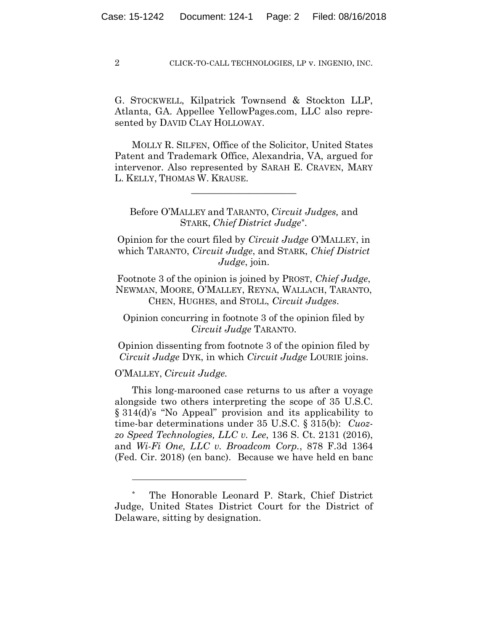G. STOCKWELL, Kilpatrick Townsend & Stockton LLP, Atlanta, GA. Appellee YellowPages.com, LLC also represented by DAVID CLAY HOLLOWAY.

 MOLLY R. SILFEN, Office of the Solicitor, United States Patent and Trademark Office, Alexandria, VA, argued for intervenor. Also represented by SARAH E. CRAVEN, MARY L. KELLY, THOMAS W. KRAUSE.

**\_\_\_\_\_\_\_\_\_\_\_\_\_\_\_\_\_\_\_\_\_\_** 

Before O'MALLEY and TARANTO, *Circuit Judges,* and STARK, *Chief District Judge*\**.* 

Opinion for the court filed by *Circuit Judge* O'MALLEY, in which TARANTO, *Circuit Judge*, and STARK, *Chief District Judge*, join.

Footnote 3 of the opinion is joined by PROST, *Chief Judge*, NEWMAN, MOORE, O'MALLEY, REYNA, WALLACH, TARANTO, CHEN, HUGHES, and STOLL, *Circuit Judges*.

Opinion concurring in footnote 3 of the opinion filed by *Circuit Judge* TARANTO.

Opinion dissenting from footnote 3 of the opinion filed by *Circuit Judge* DYK, in which *Circuit Judge* LOURIE joins.

O'MALLEY, *Circuit Judge.*

1

This long-marooned case returns to us after a voyage alongside two others interpreting the scope of 35 U.S.C. § 314(d)'s "No Appeal" provision and its applicability to time-bar determinations under 35 U.S.C. § 315(b): *Cuozzo Speed Technologies, LLC v. Lee*, 136 S. Ct. 2131 (2016), and *Wi-Fi One, LLC v. Broadcom Corp.*, 878 F.3d 1364 (Fed. Cir. 2018) (en banc). Because we have held en banc

<sup>\*</sup> The Honorable Leonard P. Stark, Chief District Judge, United States District Court for the District of Delaware, sitting by designation.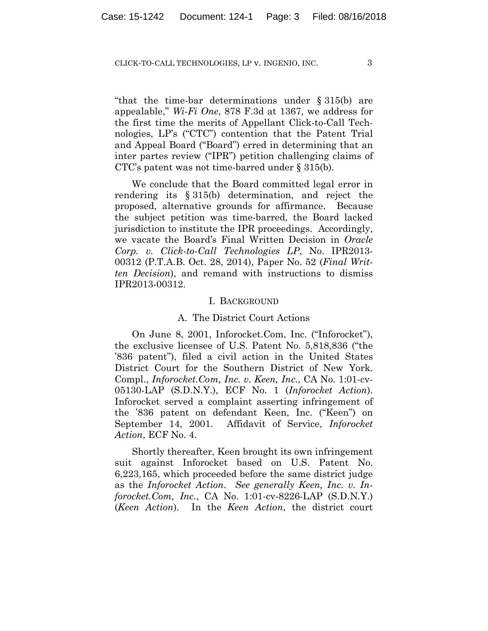"that the time-bar determinations under § 315(b) are appealable," *Wi-Fi One*, 878 F.3d at 1367, we address for the first time the merits of Appellant Click-to-Call Technologies, LP's ("CTC") contention that the Patent Trial and Appeal Board ("Board") erred in determining that an inter partes review ("IPR") petition challenging claims of CTC's patent was not time-barred under § 315(b).

We conclude that the Board committed legal error in rendering its § 315(b) determination, and reject the proposed, alternative grounds for affirmance. Because the subject petition was time-barred, the Board lacked jurisdiction to institute the IPR proceedings. Accordingly, we vacate the Board's Final Written Decision in *Oracle Corp. v. Click-to-Call Technologies LP*, No. IPR2013- 00312 (P.T.A.B. Oct. 28, 2014), Paper No. 52 (*Final Written Decision*), and remand with instructions to dismiss IPR2013-00312.

#### I. BACKGROUND

#### A. The District Court Actions

On June 8, 2001, Inforocket.Com, Inc. ("Inforocket"), the exclusive licensee of U.S. Patent No. 5,818,836 ("the '836 patent"), filed a civil action in the United States District Court for the Southern District of New York. Compl., *Inforocket.Com, Inc. v. Keen, Inc.*, CA No. 1:01-cv-05130-LAP (S.D.N.Y.), ECF No. 1 (*Inforocket Action*). Inforocket served a complaint asserting infringement of the '836 patent on defendant Keen, Inc. ("Keen") on September 14, 2001. Affidavit of Service, *Inforocket Action*, ECF No. 4.

Shortly thereafter, Keen brought its own infringement suit against Inforocket based on U.S. Patent No. 6,223,165, which proceeded before the same district judge as the *Inforocket Action*. *See generally Keen, Inc. v. Inforocket.Com, Inc.*, CA No. 1:01-cv-8226-LAP (S.D.N.Y.) (*Keen Action*). In the *Keen Action*, the district court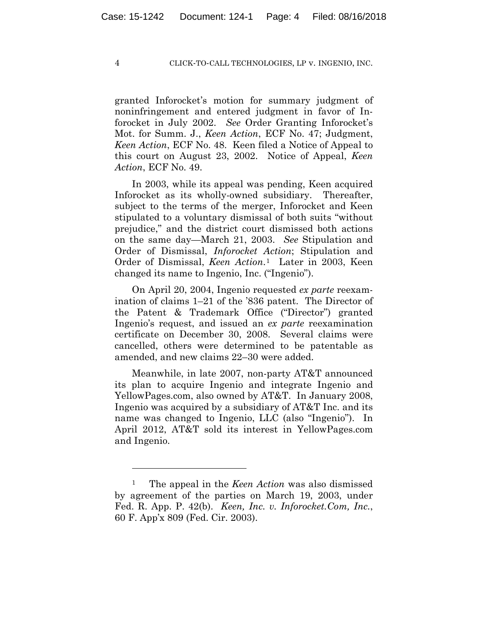granted Inforocket's motion for summary judgment of noninfringement and entered judgment in favor of Inforocket in July 2002. *See* Order Granting Inforocket's Mot. for Summ. J., *Keen Action*, ECF No. 47; Judgment, *Keen Action*, ECF No. 48. Keen filed a Notice of Appeal to this court on August 23, 2002. Notice of Appeal, *Keen Action*, ECF No. 49.

In 2003, while its appeal was pending, Keen acquired Inforocket as its wholly-owned subsidiary. Thereafter, subject to the terms of the merger, Inforocket and Keen stipulated to a voluntary dismissal of both suits "without prejudice," and the district court dismissed both actions on the same day—March 21, 2003. *See* Stipulation and Order of Dismissal, *Inforocket Action*; Stipulation and Order of Dismissal, *Keen Action*.1 Later in 2003, Keen changed its name to Ingenio, Inc. ("Ingenio").

On April 20, 2004, Ingenio requested *ex parte* reexamination of claims 1–21 of the '836 patent. The Director of the Patent & Trademark Office ("Director") granted Ingenio's request, and issued an *ex parte* reexamination certificate on December 30, 2008. Several claims were cancelled, others were determined to be patentable as amended, and new claims 22–30 were added.

Meanwhile, in late 2007, non-party AT&T announced its plan to acquire Ingenio and integrate Ingenio and YellowPages.com, also owned by AT&T. In January 2008, Ingenio was acquired by a subsidiary of AT&T Inc. and its name was changed to Ingenio, LLC (also "Ingenio"). In April 2012, AT&T sold its interest in YellowPages.com and Ingenio.

<u>.</u>

<sup>1</sup> The appeal in the *Keen Action* was also dismissed by agreement of the parties on March 19, 2003, under Fed. R. App. P. 42(b). *Keen, Inc. v. Inforocket.Com, Inc.*, 60 F. App'x 809 (Fed. Cir. 2003).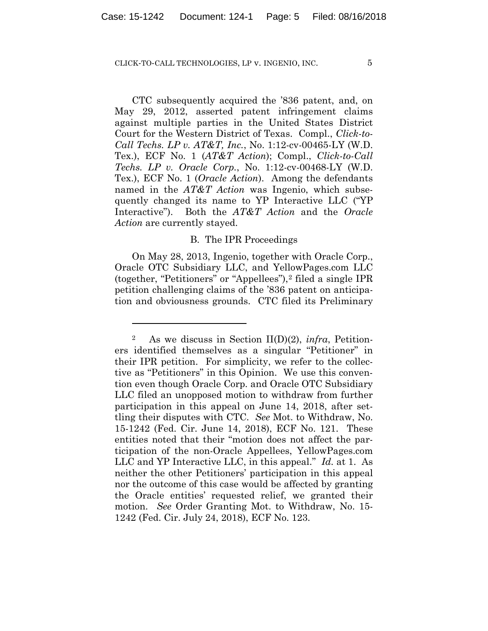CTC subsequently acquired the '836 patent, and, on May 29, 2012, asserted patent infringement claims against multiple parties in the United States District Court for the Western District of Texas. Compl., *Click-to-Call Techs. LP v. AT&T, Inc.*, No. 1:12-cv-00465-LY (W.D. Tex.), ECF No. 1 (*AT&T Action*); Compl., *Click-to-Call Techs. LP v. Oracle Corp.*, No. 1:12-cv-00468-LY (W.D. Tex.), ECF No. 1 (*Oracle Action*). Among the defendants named in the *AT&T Action* was Ingenio, which subsequently changed its name to YP Interactive LLC ("YP Interactive"). Both the *AT&T Action* and the *Oracle Action* are currently stayed.

## B. The IPR Proceedings

On May 28, 2013, Ingenio, together with Oracle Corp., Oracle OTC Subsidiary LLC, and YellowPages.com LLC (together, "Petitioners" or "Appellees"),2 filed a single IPR petition challenging claims of the '836 patent on anticipation and obviousness grounds. CTC filed its Preliminary

1

<sup>2</sup> As we discuss in Section II(D)(2), *infra*, Petitioners identified themselves as a singular "Petitioner" in their IPR petition. For simplicity, we refer to the collective as "Petitioners" in this Opinion. We use this convention even though Oracle Corp. and Oracle OTC Subsidiary LLC filed an unopposed motion to withdraw from further participation in this appeal on June 14, 2018, after settling their disputes with CTC. *See* Mot. to Withdraw, No. 15-1242 (Fed. Cir. June 14, 2018), ECF No. 121. These entities noted that their "motion does not affect the participation of the non-Oracle Appellees, YellowPages.com LLC and YP Interactive LLC, in this appeal." *Id.* at 1. As neither the other Petitioners' participation in this appeal nor the outcome of this case would be affected by granting the Oracle entities' requested relief, we granted their motion. *See* Order Granting Mot. to Withdraw, No. 15- 1242 (Fed. Cir. July 24, 2018), ECF No. 123.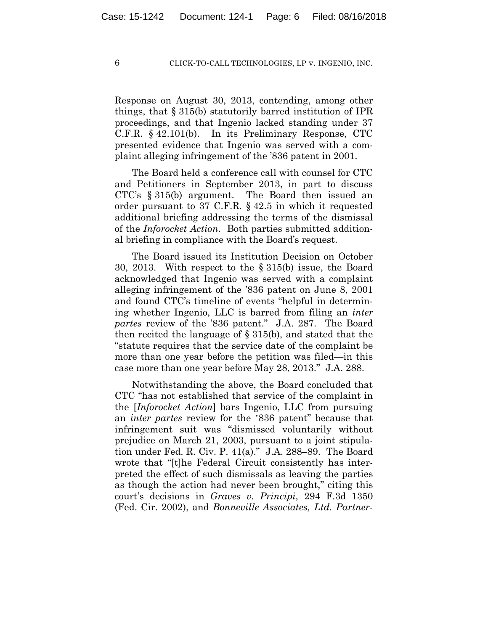Response on August 30, 2013, contending, among other things, that § 315(b) statutorily barred institution of IPR proceedings, and that Ingenio lacked standing under 37 C.F.R. § 42.101(b). In its Preliminary Response, CTC presented evidence that Ingenio was served with a complaint alleging infringement of the '836 patent in 2001.

The Board held a conference call with counsel for CTC and Petitioners in September 2013, in part to discuss CTC's § 315(b) argument. The Board then issued an order pursuant to 37 C.F.R. § 42.5 in which it requested additional briefing addressing the terms of the dismissal of the *Inforocket Action*. Both parties submitted additional briefing in compliance with the Board's request.

The Board issued its Institution Decision on October 30, 2013. With respect to the § 315(b) issue, the Board acknowledged that Ingenio was served with a complaint alleging infringement of the '836 patent on June 8, 2001 and found CTC's timeline of events "helpful in determining whether Ingenio, LLC is barred from filing an *inter partes* review of the '836 patent." J.A. 287. The Board then recited the language of § 315(b), and stated that the "statute requires that the service date of the complaint be more than one year before the petition was filed—in this case more than one year before May 28, 2013." J.A. 288.

Notwithstanding the above, the Board concluded that CTC "has not established that service of the complaint in the [*Inforocket Action*] bars Ingenio, LLC from pursuing an *inter partes* review for the '836 patent" because that infringement suit was "dismissed voluntarily without prejudice on March 21, 2003, pursuant to a joint stipulation under Fed. R. Civ. P. 41(a)." J.A. 288–89. The Board wrote that "[t]he Federal Circuit consistently has interpreted the effect of such dismissals as leaving the parties as though the action had never been brought," citing this court's decisions in *Graves v. Principi*, 294 F.3d 1350 (Fed. Cir. 2002), and *Bonneville Associates, Ltd. Partner-*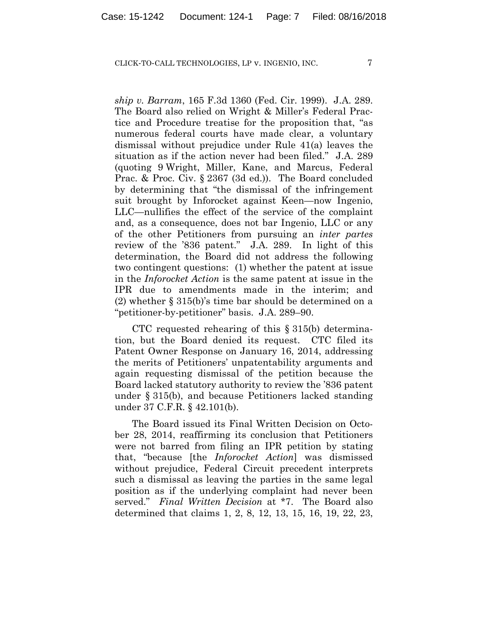*ship v. Barram*, 165 F.3d 1360 (Fed. Cir. 1999). J.A. 289. The Board also relied on Wright & Miller's Federal Practice and Procedure treatise for the proposition that, "as numerous federal courts have made clear, a voluntary dismissal without prejudice under Rule 41(a) leaves the situation as if the action never had been filed." J.A. 289 (quoting 9 Wright, Miller, Kane, and Marcus, Federal Prac. & Proc. Civ. § 2367 (3d ed.)). The Board concluded by determining that "the dismissal of the infringement suit brought by Inforocket against Keen—now Ingenio, LLC—nullifies the effect of the service of the complaint and, as a consequence, does not bar Ingenio, LLC or any of the other Petitioners from pursuing an *inter partes* review of the '836 patent." J.A. 289. In light of this determination, the Board did not address the following two contingent questions: (1) whether the patent at issue in the *Inforocket Action* is the same patent at issue in the IPR due to amendments made in the interim; and (2) whether § 315(b)'s time bar should be determined on a "petitioner-by-petitioner" basis. J.A. 289–90.

CTC requested rehearing of this § 315(b) determination, but the Board denied its request. CTC filed its Patent Owner Response on January 16, 2014, addressing the merits of Petitioners' unpatentability arguments and again requesting dismissal of the petition because the Board lacked statutory authority to review the '836 patent under § 315(b), and because Petitioners lacked standing under 37 C.F.R. § 42.101(b).

The Board issued its Final Written Decision on October 28, 2014, reaffirming its conclusion that Petitioners were not barred from filing an IPR petition by stating that, "because [the *Inforocket Action*] was dismissed without prejudice, Federal Circuit precedent interprets such a dismissal as leaving the parties in the same legal position as if the underlying complaint had never been served." *Final Written Decision* at \*7. The Board also determined that claims 1, 2, 8, 12, 13, 15, 16, 19, 22, 23,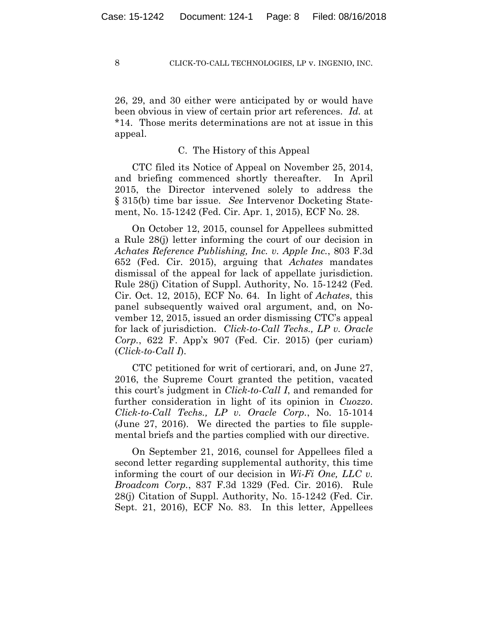26, 29, and 30 either were anticipated by or would have been obvious in view of certain prior art references. *Id.* at \*14. Those merits determinations are not at issue in this appeal.

## C. The History of this Appeal

CTC filed its Notice of Appeal on November 25, 2014, and briefing commenced shortly thereafter. In April 2015, the Director intervened solely to address the § 315(b) time bar issue. *See* Intervenor Docketing Statement, No. 15-1242 (Fed. Cir. Apr. 1, 2015), ECF No. 28.

On October 12, 2015, counsel for Appellees submitted a Rule 28(j) letter informing the court of our decision in *Achates Reference Publishing, Inc. v. Apple Inc.*, 803 F.3d 652 (Fed. Cir. 2015), arguing that *Achates* mandates dismissal of the appeal for lack of appellate jurisdiction. Rule 28(j) Citation of Suppl. Authority, No. 15-1242 (Fed. Cir. Oct. 12, 2015), ECF No. 64. In light of *Achates*, this panel subsequently waived oral argument, and, on November 12, 2015, issued an order dismissing CTC's appeal for lack of jurisdiction. *Click-to-Call Techs., LP v. Oracle Corp.*, 622 F. App'x 907 (Fed. Cir. 2015) (per curiam) (*Click-to-Call I*).

CTC petitioned for writ of certiorari, and, on June 27, 2016, the Supreme Court granted the petition, vacated this court's judgment in *Click-to-Call I*, and remanded for further consideration in light of its opinion in *Cuozzo*. *Click-to-Call Techs., LP v. Oracle Corp.*, No. 15-1014 (June 27, 2016). We directed the parties to file supplemental briefs and the parties complied with our directive.

On September 21, 2016, counsel for Appellees filed a second letter regarding supplemental authority, this time informing the court of our decision in *Wi-Fi One, LLC v. Broadcom Corp.*, 837 F.3d 1329 (Fed. Cir. 2016). Rule 28(j) Citation of Suppl. Authority, No. 15-1242 (Fed. Cir. Sept. 21, 2016), ECF No. 83. In this letter, Appellees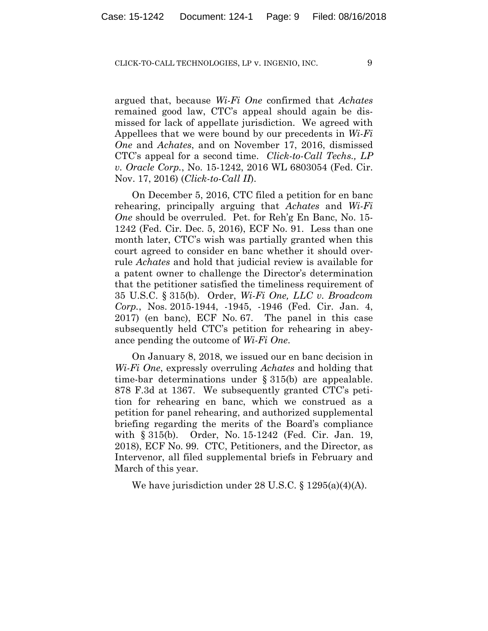argued that, because *Wi-Fi One* confirmed that *Achates* remained good law, CTC's appeal should again be dismissed for lack of appellate jurisdiction. We agreed with Appellees that we were bound by our precedents in *Wi-Fi One* and *Achates*, and on November 17, 2016, dismissed CTC's appeal for a second time. *Click-to-Call Techs., LP v. Oracle Corp.*, No. 15-1242, 2016 WL 6803054 (Fed. Cir. Nov. 17, 2016) (*Click-to-Call II*).

On December 5, 2016, CTC filed a petition for en banc rehearing, principally arguing that *Achates* and *Wi-Fi One* should be overruled. Pet. for Reh'g En Banc, No. 15- 1242 (Fed. Cir. Dec. 5, 2016), ECF No. 91. Less than one month later, CTC's wish was partially granted when this court agreed to consider en banc whether it should overrule *Achates* and hold that judicial review is available for a patent owner to challenge the Director's determination that the petitioner satisfied the timeliness requirement of 35 U.S.C. § 315(b). Order, *Wi-Fi One, LLC v. Broadcom Corp.*, Nos. 2015-1944, -1945, -1946 (Fed. Cir. Jan. 4, 2017) (en banc), ECF No. 67. The panel in this case subsequently held CTC's petition for rehearing in abeyance pending the outcome of *Wi-Fi One*.

On January 8, 2018, we issued our en banc decision in *Wi-Fi One*, expressly overruling *Achates* and holding that time-bar determinations under § 315(b) are appealable. 878 F.3d at 1367. We subsequently granted CTC's petition for rehearing en banc, which we construed as a petition for panel rehearing, and authorized supplemental briefing regarding the merits of the Board's compliance with § 315(b). Order, No. 15-1242 (Fed. Cir. Jan. 19, 2018), ECF No. 99. CTC, Petitioners, and the Director, as Intervenor, all filed supplemental briefs in February and March of this year.

We have jurisdiction under 28 U.S.C. § 1295(a)(4)(A).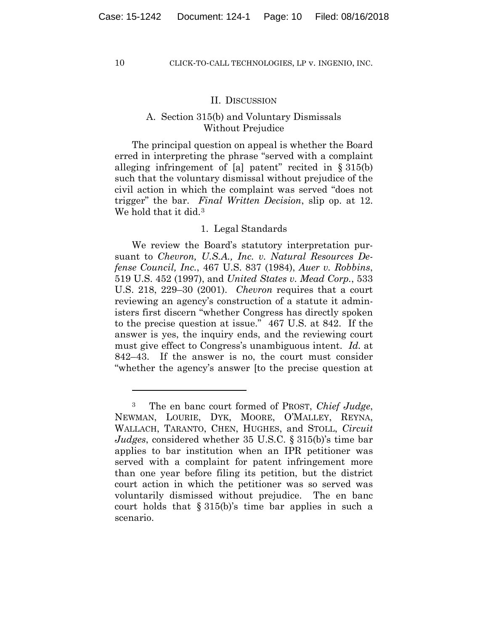1

#### II. DISCUSSION

# A. Section 315(b) and Voluntary Dismissals Without Prejudice

The principal question on appeal is whether the Board erred in interpreting the phrase "served with a complaint alleging infringement of [a] patent" recited in  $\S 315(b)$ such that the voluntary dismissal without prejudice of the civil action in which the complaint was served "does not trigger" the bar. *Final Written Decision*, slip op. at 12. We hold that it did.<sup>3</sup>

## 1. Legal Standards

We review the Board's statutory interpretation pursuant to *Chevron, U.S.A., Inc. v. Natural Resources Defense Council, Inc.*, 467 U.S. 837 (1984), *Auer v. Robbins*, 519 U.S. 452 (1997), and *United States v. Mead Corp.*, 533 U.S. 218, 229–30 (2001). *Chevron* requires that a court reviewing an agency's construction of a statute it administers first discern "whether Congress has directly spoken to the precise question at issue." 467 U.S. at 842. If the answer is yes, the inquiry ends, and the reviewing court must give effect to Congress's unambiguous intent. *Id.* at 842–43. If the answer is no, the court must consider "whether the agency's answer [to the precise question at

<sup>3</sup> The en banc court formed of PROST, *Chief Judge*, NEWMAN, LOURIE, DYK, MOORE, O'MALLEY, REYNA, WALLACH, TARANTO, CHEN, HUGHES, and STOLL, *Circuit Judges*, considered whether 35 U.S.C. § 315(b)'s time bar applies to bar institution when an IPR petitioner was served with a complaint for patent infringement more than one year before filing its petition, but the district court action in which the petitioner was so served was voluntarily dismissed without prejudice. The en banc court holds that § 315(b)'s time bar applies in such a scenario.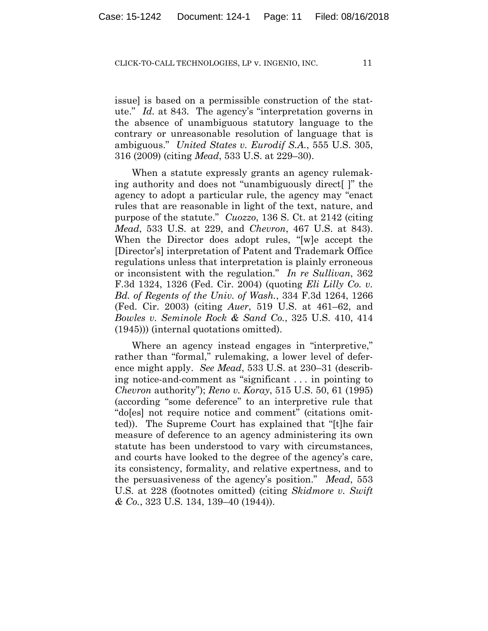issue] is based on a permissible construction of the statute." *Id.* at 843. The agency's "interpretation governs in the absence of unambiguous statutory language to the contrary or unreasonable resolution of language that is ambiguous." *United States v. Eurodif S.A.*, 555 U.S. 305, 316 (2009) (citing *Mead*, 533 U.S. at 229–30).

When a statute expressly grants an agency rulemaking authority and does not "unambiguously direct[ ]" the agency to adopt a particular rule, the agency may "enact rules that are reasonable in light of the text, nature, and purpose of the statute." *Cuozzo*, 136 S. Ct. at 2142 (citing *Mead*, 533 U.S. at 229, and *Chevron*, 467 U.S. at 843). When the Director does adopt rules, "[w]e accept the [Director's] interpretation of Patent and Trademark Office regulations unless that interpretation is plainly erroneous or inconsistent with the regulation." *In re Sullivan*, 362 F.3d 1324, 1326 (Fed. Cir. 2004) (quoting *Eli Lilly Co. v. Bd. of Regents of the Univ. of Wash.*, 334 F.3d 1264, 1266 (Fed. Cir. 2003) (citing *Auer*, 519 U.S. at 461–62, and *Bowles v. Seminole Rock & Sand Co.*, 325 U.S. 410, 414 (1945))) (internal quotations omitted).

Where an agency instead engages in "interpretive," rather than "formal," rulemaking, a lower level of deference might apply. *See Mead*, 533 U.S. at 230–31 (describing notice-and-comment as "significant . . . in pointing to *Chevron* authority"); *Reno v. Koray*, 515 U.S. 50, 61 (1995) (according "some deference" to an interpretive rule that "do[es] not require notice and comment" (citations omitted)). The Supreme Court has explained that "[t]he fair measure of deference to an agency administering its own statute has been understood to vary with circumstances, and courts have looked to the degree of the agency's care, its consistency, formality, and relative expertness, and to the persuasiveness of the agency's position." *Mead*, 553 U.S*.* at 228 (footnotes omitted) (citing *Skidmore v. Swift & Co.*, 323 U.S. 134, 139–40 (1944)).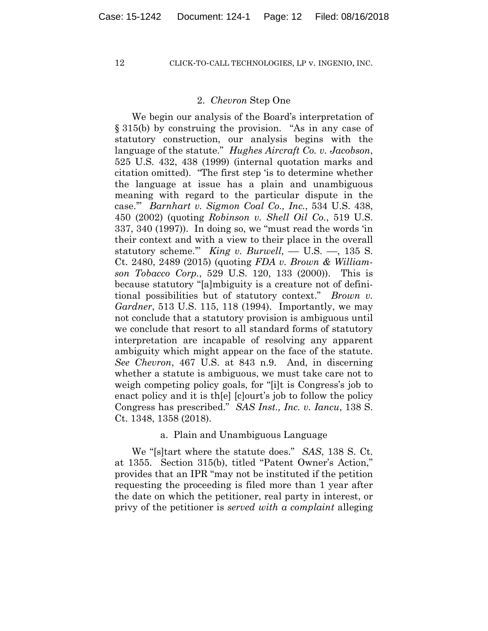# 2. *Chevron* Step One

We begin our analysis of the Board's interpretation of § 315(b) by construing the provision. "As in any case of statutory construction, our analysis begins with the language of the statute." *Hughes Aircraft Co. v. Jacobson*, 525 U.S. 432, 438 (1999) (internal quotation marks and citation omitted). "The first step 'is to determine whether the language at issue has a plain and unambiguous meaning with regard to the particular dispute in the case.'" *Barnhart v. Sigmon Coal Co., Inc.*, 534 U.S. 438, 450 (2002) (quoting *Robinson v. Shell Oil Co.*, 519 U.S. 337, 340 (1997)). In doing so, we "must read the words 'in their context and with a view to their place in the overall statutory scheme." *King v. Burwell*,  $-$  U.S.  $-$ , 135 S. Ct. 2480, 2489 (2015) (quoting *FDA v. Brown & Williamson Tobacco Corp.*, 529 U.S. 120, 133 (2000)). This is because statutory "[a]mbiguity is a creature not of definitional possibilities but of statutory context." *Brown v. Gardner*, 513 U.S. 115, 118 (1994). Importantly, we may not conclude that a statutory provision is ambiguous until we conclude that resort to all standard forms of statutory interpretation are incapable of resolving any apparent ambiguity which might appear on the face of the statute. *See Chevron*, 467 U.S. at 843 n.9. And, in discerning whether a statute is ambiguous, we must take care not to weigh competing policy goals, for "[i]t is Congress's job to enact policy and it is th[e] [c]ourt's job to follow the policy Congress has prescribed." *SAS Inst., Inc. v. Iancu*, 138 S. Ct. 1348, 1358 (2018).

# a. Plain and Unambiguous Language

We "[s]tart where the statute does." *SAS*, 138 S. Ct. at 1355. Section 315(b), titled "Patent Owner's Action," provides that an IPR "may not be instituted if the petition requesting the proceeding is filed more than 1 year after the date on which the petitioner, real party in interest, or privy of the petitioner is *served with a complaint* alleging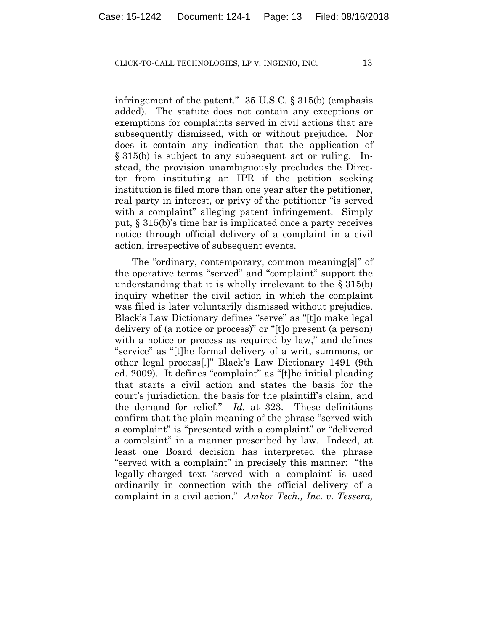infringement of the patent." 35 U.S.C. § 315(b) (emphasis added). The statute does not contain any exceptions or exemptions for complaints served in civil actions that are subsequently dismissed, with or without prejudice. Nor does it contain any indication that the application of § 315(b) is subject to any subsequent act or ruling. Instead, the provision unambiguously precludes the Director from instituting an IPR if the petition seeking institution is filed more than one year after the petitioner, real party in interest, or privy of the petitioner "is served with a complaint" alleging patent infringement. Simply put, § 315(b)'s time bar is implicated once a party receives notice through official delivery of a complaint in a civil action, irrespective of subsequent events.

The "ordinary, contemporary, common meaning[s]" of the operative terms "served" and "complaint" support the understanding that it is wholly irrelevant to the § 315(b) inquiry whether the civil action in which the complaint was filed is later voluntarily dismissed without prejudice. Black's Law Dictionary defines "serve" as "[t]o make legal delivery of (a notice or process)" or "[t]o present (a person) with a notice or process as required by law," and defines "service" as "[t]he formal delivery of a writ, summons, or other legal process[.]" Black's Law Dictionary 1491 (9th ed. 2009). It defines "complaint" as "[t]he initial pleading that starts a civil action and states the basis for the court's jurisdiction, the basis for the plaintiff's claim, and the demand for relief." *Id.* at 323. These definitions confirm that the plain meaning of the phrase "served with a complaint" is "presented with a complaint" or "delivered a complaint" in a manner prescribed by law. Indeed, at least one Board decision has interpreted the phrase "served with a complaint" in precisely this manner: "the legally-charged text 'served with a complaint' is used ordinarily in connection with the official delivery of a complaint in a civil action." *Amkor Tech., Inc. v. Tessera,*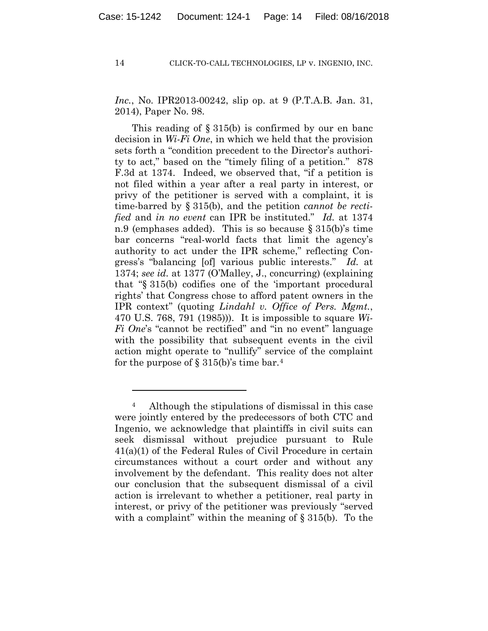*Inc.*, No. IPR2013-00242, slip op. at 9 (P.T.A.B. Jan. 31, 2014), Paper No. 98.

This reading of § 315(b) is confirmed by our en banc decision in *Wi-Fi One*, in which we held that the provision sets forth a "condition precedent to the Director's authority to act," based on the "timely filing of a petition." 878 F.3d at 1374. Indeed, we observed that, "if a petition is not filed within a year after a real party in interest, or privy of the petitioner is served with a complaint, it is time-barred by § 315(b), and the petition *cannot be rectified* and *in no event* can IPR be instituted." *Id.* at 1374 n.9 (emphases added). This is so because § 315(b)'s time bar concerns "real-world facts that limit the agency's authority to act under the IPR scheme," reflecting Congress's "balancing [of] various public interests." *Id.* at 1374; *see id.* at 1377 (O'Malley, J., concurring) (explaining that "§ 315(b) codifies one of the 'important procedural rights' that Congress chose to afford patent owners in the IPR context" (quoting *Lindahl v. Office of Pers. Mgmt.*, 470 U.S. 768, 791 (1985))). It is impossible to square *Wi-Fi One*'s "cannot be rectified" and "in no event" language with the possibility that subsequent events in the civil action might operate to "nullify" service of the complaint for the purpose of  $\S 315(b)$ 's time bar.<sup>4</sup>

1

<sup>4</sup> Although the stipulations of dismissal in this case were jointly entered by the predecessors of both CTC and Ingenio, we acknowledge that plaintiffs in civil suits can seek dismissal without prejudice pursuant to Rule 41(a)(1) of the Federal Rules of Civil Procedure in certain circumstances without a court order and without any involvement by the defendant. This reality does not alter our conclusion that the subsequent dismissal of a civil action is irrelevant to whether a petitioner, real party in interest, or privy of the petitioner was previously "served with a complaint" within the meaning of  $\S 315(b)$ . To the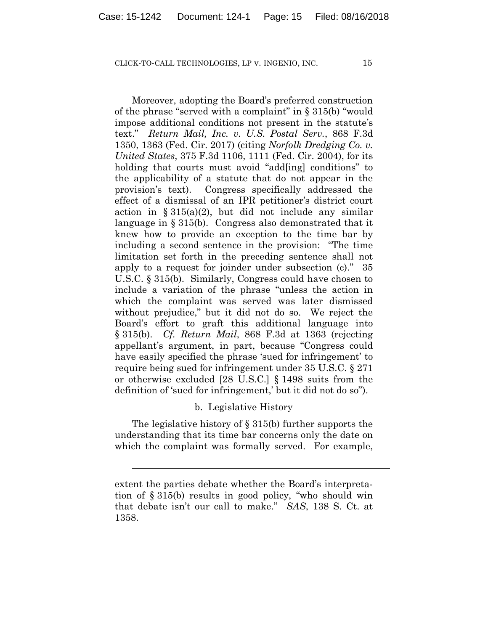Moreover, adopting the Board's preferred construction of the phrase "served with a complaint" in § 315(b) "would impose additional conditions not present in the statute's text." *Return Mail, Inc. v. U.S. Postal Serv.*, 868 F.3d 1350, 1363 (Fed. Cir. 2017) (citing *Norfolk Dredging Co. v. United States*, 375 F.3d 1106, 1111 (Fed. Cir. 2004), for its holding that courts must avoid "add[ing] conditions" to the applicability of a statute that do not appear in the provision's text). Congress specifically addressed the effect of a dismissal of an IPR petitioner's district court action in  $\S 315(a)(2)$ , but did not include any similar language in § 315(b). Congress also demonstrated that it knew how to provide an exception to the time bar by including a second sentence in the provision: "The time limitation set forth in the preceding sentence shall not apply to a request for joinder under subsection (c)." 35 U.S.C. § 315(b). Similarly, Congress could have chosen to include a variation of the phrase "unless the action in which the complaint was served was later dismissed without prejudice," but it did not do so. We reject the Board's effort to graft this additional language into § 315(b). *Cf. Return Mail*, 868 F.3d at 1363 (rejecting appellant's argument, in part, because "Congress could have easily specified the phrase 'sued for infringement' to require being sued for infringement under 35 U.S.C. § 271 or otherwise excluded [28 U.S.C.] § 1498 suits from the definition of 'sued for infringement,' but it did not do so").

# b. Legislative History

The legislative history of § 315(b) further supports the understanding that its time bar concerns only the date on which the complaint was formally served. For example,

 $\overline{a}$ 

extent the parties debate whether the Board's interpretation of § 315(b) results in good policy, "who should win that debate isn't our call to make." *SAS*, 138 S. Ct. at 1358.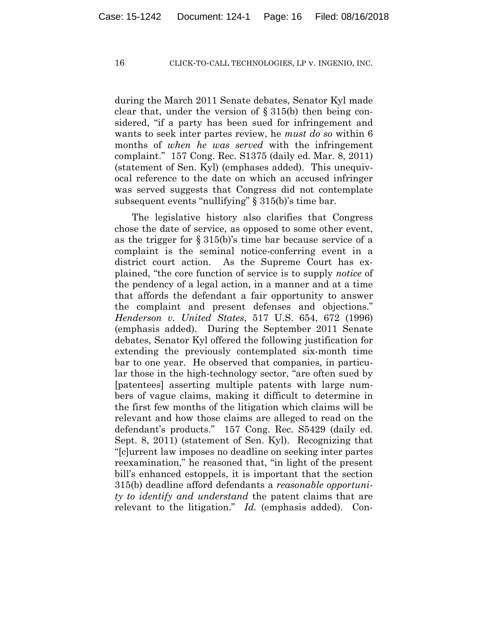during the March 2011 Senate debates, Senator Kyl made clear that, under the version of  $\S 315(b)$  then being considered, "if a party has been sued for infringement and wants to seek inter partes review, he *must do so* within 6 months of *when he was served* with the infringement complaint." 157 Cong. Rec. S1375 (daily ed. Mar. 8, 2011) (statement of Sen. Kyl) (emphases added). This unequivocal reference to the date on which an accused infringer was served suggests that Congress did not contemplate subsequent events "nullifying" § 315(b)'s time bar.

The legislative history also clarifies that Congress chose the date of service, as opposed to some other event, as the trigger for § 315(b)'s time bar because service of a complaint is the seminal notice-conferring event in a district court action. As the Supreme Court has explained, "the core function of service is to supply *notice* of the pendency of a legal action, in a manner and at a time that affords the defendant a fair opportunity to answer the complaint and present defenses and objections." *Henderson v. United States*, 517 U.S. 654, 672 (1996) (emphasis added). During the September 2011 Senate debates, Senator Kyl offered the following justification for extending the previously contemplated six-month time bar to one year. He observed that companies, in particular those in the high-technology sector, "are often sued by [patentees] asserting multiple patents with large numbers of vague claims, making it difficult to determine in the first few months of the litigation which claims will be relevant and how those claims are alleged to read on the defendant's products." 157 Cong. Rec. S5429 (daily ed. Sept. 8, 2011) (statement of Sen. Kyl). Recognizing that "[c]urrent law imposes no deadline on seeking inter partes reexamination," he reasoned that, "in light of the present bill's enhanced estoppels, it is important that the section 315(b) deadline afford defendants a *reasonable opportunity to identify and understand* the patent claims that are relevant to the litigation." *Id.* (emphasis added). Con-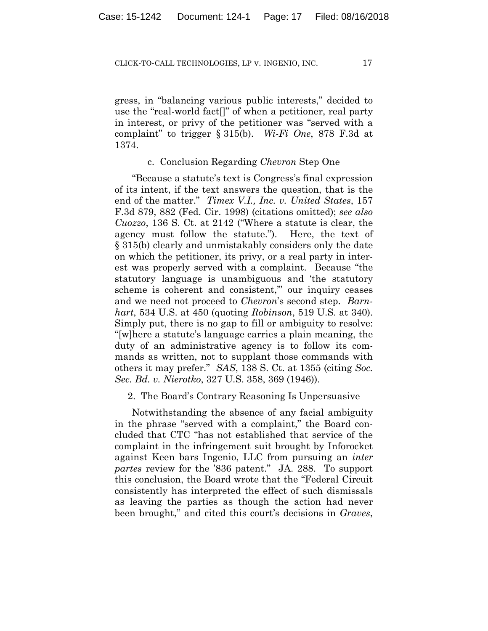gress, in "balancing various public interests," decided to use the "real-world fact[]" of when a petitioner, real party in interest, or privy of the petitioner was "served with a complaint" to trigger § 315(b). *Wi-Fi One*, 878 F.3d at 1374.

# c. Conclusion Regarding *Chevron* Step One

"Because a statute's text is Congress's final expression of its intent, if the text answers the question, that is the end of the matter." *Timex V.I., Inc. v. United States*, 157 F.3d 879, 882 (Fed. Cir. 1998) (citations omitted); *see also Cuozzo*, 136 S. Ct. at 2142 ("Where a statute is clear, the agency must follow the statute."). Here, the text of § 315(b) clearly and unmistakably considers only the date on which the petitioner, its privy, or a real party in interest was properly served with a complaint. Because "the statutory language is unambiguous and 'the statutory scheme is coherent and consistent,'" our inquiry ceases and we need not proceed to *Chevron*'s second step. *Barnhart*, 534 U.S. at 450 (quoting *Robinson*, 519 U.S. at 340). Simply put, there is no gap to fill or ambiguity to resolve: "[w]here a statute's language carries a plain meaning, the duty of an administrative agency is to follow its commands as written, not to supplant those commands with others it may prefer." *SAS*, 138 S. Ct. at 1355 (citing *Soc. Sec. Bd. v. Nierotko*, 327 U.S. 358, 369 (1946)).

# 2. The Board's Contrary Reasoning Is Unpersuasive

Notwithstanding the absence of any facial ambiguity in the phrase "served with a complaint," the Board concluded that CTC "has not established that service of the complaint in the infringement suit brought by Inforocket against Keen bars Ingenio, LLC from pursuing an *inter partes* review for the '836 patent." JA. 288. To support this conclusion, the Board wrote that the "Federal Circuit consistently has interpreted the effect of such dismissals as leaving the parties as though the action had never been brought," and cited this court's decisions in *Graves*,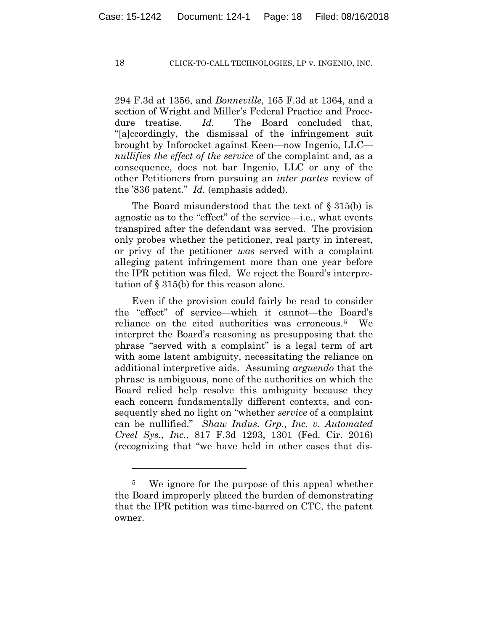294 F.3d at 1356, and *Bonneville*, 165 F.3d at 1364, and a section of Wright and Miller's Federal Practice and Procedure treatise. *Id.* The Board concluded that, "[a]ccordingly, the dismissal of the infringement suit brought by Inforocket against Keen—now Ingenio, LLC *nullifies the effect of the service* of the complaint and, as a consequence, does not bar Ingenio, LLC or any of the other Petitioners from pursuing an *inter partes* review of the '836 patent." *Id.* (emphasis added).

The Board misunderstood that the text of § 315(b) is agnostic as to the "effect" of the service—i.e., what events transpired after the defendant was served. The provision only probes whether the petitioner, real party in interest, or privy of the petitioner *was* served with a complaint alleging patent infringement more than one year before the IPR petition was filed. We reject the Board's interpretation of § 315(b) for this reason alone.

Even if the provision could fairly be read to consider the "effect" of service—which it cannot—the Board's reliance on the cited authorities was erroneous.5 We interpret the Board's reasoning as presupposing that the phrase "served with a complaint" is a legal term of art with some latent ambiguity, necessitating the reliance on additional interpretive aids. Assuming *arguendo* that the phrase is ambiguous, none of the authorities on which the Board relied help resolve this ambiguity because they each concern fundamentally different contexts, and consequently shed no light on "whether *service* of a complaint can be nullified." *Shaw Indus. Grp., Inc. v. Automated Creel Sys., Inc.*, 817 F.3d 1293, 1301 (Fed. Cir. 2016) (recognizing that "we have held in other cases that dis-

<u>.</u>

<sup>&</sup>lt;sup>5</sup> We ignore for the purpose of this appeal whether the Board improperly placed the burden of demonstrating that the IPR petition was time-barred on CTC, the patent owner.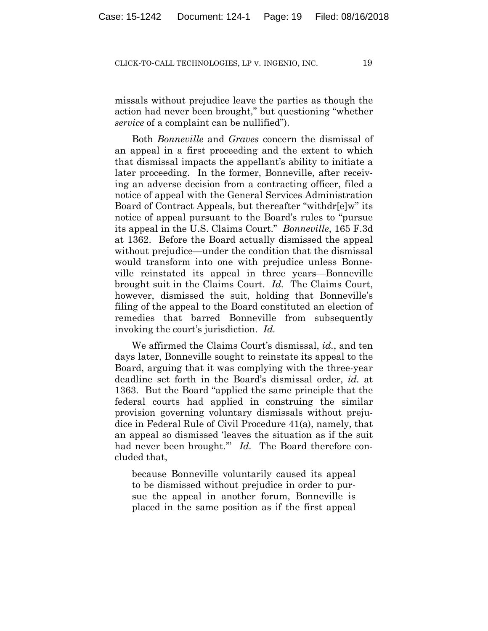missals without prejudice leave the parties as though the action had never been brought," but questioning "whether *service* of a complaint can be nullified").

Both *Bonneville* and *Graves* concern the dismissal of an appeal in a first proceeding and the extent to which that dismissal impacts the appellant's ability to initiate a later proceeding. In the former, Bonneville, after receiving an adverse decision from a contracting officer, filed a notice of appeal with the General Services Administration Board of Contract Appeals, but thereafter "withdr[e]w" its notice of appeal pursuant to the Board's rules to "pursue its appeal in the U.S. Claims Court." *Bonneville*, 165 F.3d at 1362. Before the Board actually dismissed the appeal without prejudice—under the condition that the dismissal would transform into one with prejudice unless Bonneville reinstated its appeal in three years—Bonneville brought suit in the Claims Court. *Id.* The Claims Court, however, dismissed the suit, holding that Bonneville's filing of the appeal to the Board constituted an election of remedies that barred Bonneville from subsequently invoking the court's jurisdiction. *Id.*

We affirmed the Claims Court's dismissal, *id.*, and ten days later, Bonneville sought to reinstate its appeal to the Board, arguing that it was complying with the three-year deadline set forth in the Board's dismissal order, *id.* at 1363. But the Board "applied the same principle that the federal courts had applied in construing the similar provision governing voluntary dismissals without prejudice in Federal Rule of Civil Procedure 41(a), namely, that an appeal so dismissed 'leaves the situation as if the suit had never been brought." *Id.* The Board therefore concluded that,

because Bonneville voluntarily caused its appeal to be dismissed without prejudice in order to pursue the appeal in another forum, Bonneville is placed in the same position as if the first appeal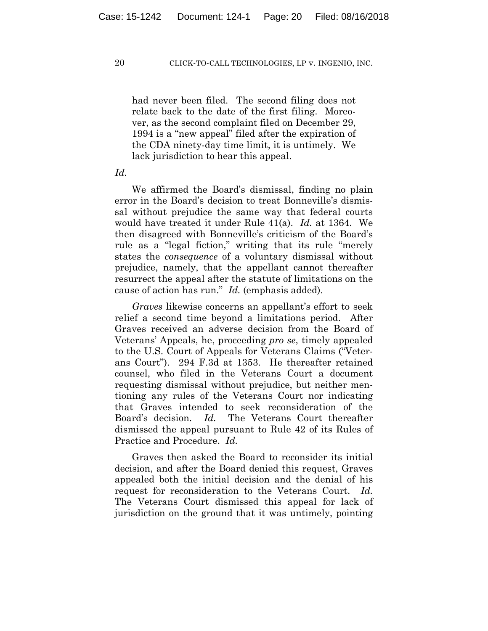had never been filed. The second filing does not relate back to the date of the first filing. Moreover, as the second complaint filed on December 29, 1994 is a "new appeal" filed after the expiration of the CDA ninety-day time limit, it is untimely. We lack jurisdiction to hear this appeal.

*Id.*

We affirmed the Board's dismissal, finding no plain error in the Board's decision to treat Bonneville's dismissal without prejudice the same way that federal courts would have treated it under Rule 41(a). *Id.* at 1364. We then disagreed with Bonneville's criticism of the Board's rule as a "legal fiction," writing that its rule "merely states the *consequence* of a voluntary dismissal without prejudice, namely, that the appellant cannot thereafter resurrect the appeal after the statute of limitations on the cause of action has run." *Id.* (emphasis added).

*Graves* likewise concerns an appellant's effort to seek relief a second time beyond a limitations period. After Graves received an adverse decision from the Board of Veterans' Appeals, he, proceeding *pro se*, timely appealed to the U.S. Court of Appeals for Veterans Claims ("Veterans Court"). 294 F.3d at 1353. He thereafter retained counsel, who filed in the Veterans Court a document requesting dismissal without prejudice, but neither mentioning any rules of the Veterans Court nor indicating that Graves intended to seek reconsideration of the Board's decision. *Id.* The Veterans Court thereafter dismissed the appeal pursuant to Rule 42 of its Rules of Practice and Procedure. *Id.*

Graves then asked the Board to reconsider its initial decision, and after the Board denied this request, Graves appealed both the initial decision and the denial of his request for reconsideration to the Veterans Court. *Id.* The Veterans Court dismissed this appeal for lack of jurisdiction on the ground that it was untimely, pointing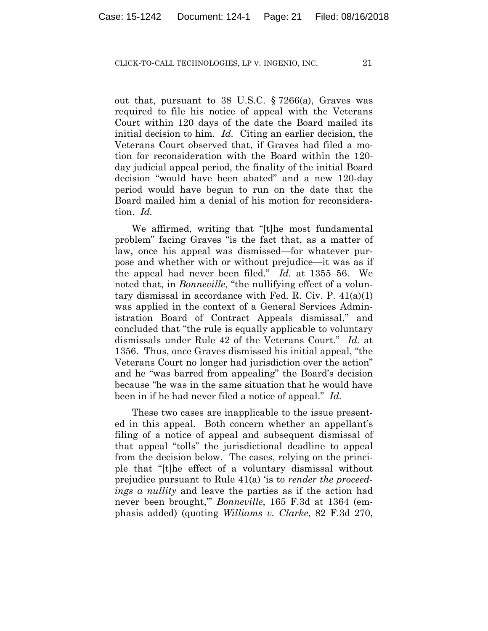out that, pursuant to 38 U.S.C. § 7266(a), Graves was required to file his notice of appeal with the Veterans Court within 120 days of the date the Board mailed its initial decision to him. *Id.* Citing an earlier decision, the Veterans Court observed that, if Graves had filed a motion for reconsideration with the Board within the 120 day judicial appeal period, the finality of the initial Board decision "would have been abated" and a new 120-day period would have begun to run on the date that the Board mailed him a denial of his motion for reconsideration. *Id.*

We affirmed, writing that "[t]he most fundamental problem" facing Graves "is the fact that, as a matter of law, once his appeal was dismissed—for whatever purpose and whether with or without prejudice—it was as if the appeal had never been filed." *Id.* at 1355–56. We noted that, in *Bonneville*, "the nullifying effect of a voluntary dismissal in accordance with Fed. R. Civ. P. 41(a)(1) was applied in the context of a General Services Administration Board of Contract Appeals dismissal," and concluded that "the rule is equally applicable to voluntary dismissals under Rule 42 of the Veterans Court." *Id.* at 1356. Thus, once Graves dismissed his initial appeal, "the Veterans Court no longer had jurisdiction over the action" and he "was barred from appealing" the Board's decision because "he was in the same situation that he would have been in if he had never filed a notice of appeal." *Id.*

These two cases are inapplicable to the issue presented in this appeal. Both concern whether an appellant's filing of a notice of appeal and subsequent dismissal of that appeal "tolls" the jurisdictional deadline to appeal from the decision below. The cases, relying on the principle that "[t]he effect of a voluntary dismissal without prejudice pursuant to Rule 41(a) 'is to *render the proceedings a nullity* and leave the parties as if the action had never been brought,'" *Bonneville*, 165 F.3d at 1364 (emphasis added) (quoting *Williams v. Clarke*, 82 F.3d 270,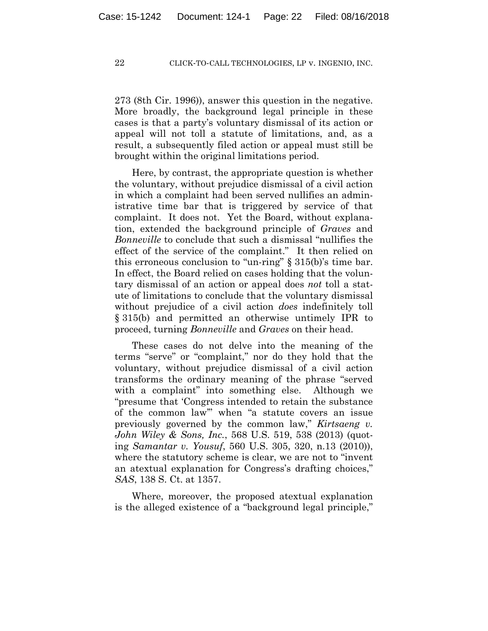273 (8th Cir. 1996)), answer this question in the negative. More broadly, the background legal principle in these cases is that a party's voluntary dismissal of its action or appeal will not toll a statute of limitations, and, as a result, a subsequently filed action or appeal must still be brought within the original limitations period.

Here, by contrast, the appropriate question is whether the voluntary, without prejudice dismissal of a civil action in which a complaint had been served nullifies an administrative time bar that is triggered by service of that complaint. It does not. Yet the Board, without explanation, extended the background principle of *Graves* and *Bonneville* to conclude that such a dismissal "nullifies the effect of the service of the complaint." It then relied on this erroneous conclusion to "un-ring" § 315(b)'s time bar. In effect, the Board relied on cases holding that the voluntary dismissal of an action or appeal does *not* toll a statute of limitations to conclude that the voluntary dismissal without prejudice of a civil action *does* indefinitely toll § 315(b) and permitted an otherwise untimely IPR to proceed, turning *Bonneville* and *Graves* on their head.

These cases do not delve into the meaning of the terms "serve" or "complaint," nor do they hold that the voluntary, without prejudice dismissal of a civil action transforms the ordinary meaning of the phrase "served with a complaint" into something else. Although we "presume that 'Congress intended to retain the substance of the common law'" when "a statute covers an issue previously governed by the common law," *Kirtsaeng v. John Wiley & Sons, Inc.*, 568 U.S. 519, 538 (2013) (quoting *Samantar v. Yousuf*, 560 U.S. 305, 320, n.13 (2010)), where the statutory scheme is clear, we are not to "invent an atextual explanation for Congress's drafting choices," *SAS*, 138 S. Ct. at 1357.

Where, moreover, the proposed atextual explanation is the alleged existence of a "background legal principle,"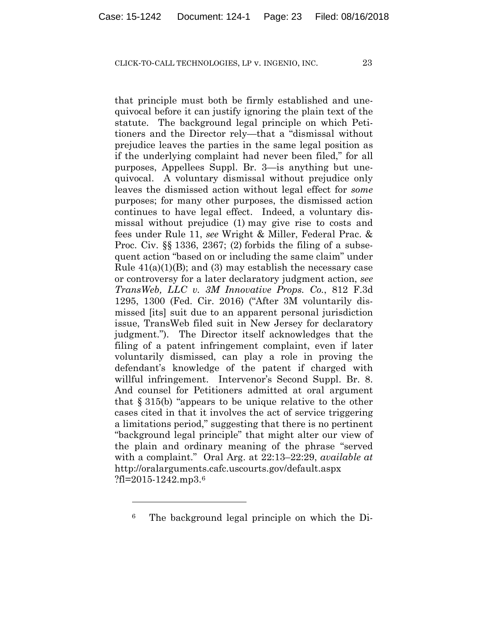that principle must both be firmly established and unequivocal before it can justify ignoring the plain text of the statute. The background legal principle on which Petitioners and the Director rely—that a "dismissal without prejudice leaves the parties in the same legal position as if the underlying complaint had never been filed," for all purposes, Appellees Suppl. Br. 3—is anything but unequivocal. A voluntary dismissal without prejudice only leaves the dismissed action without legal effect for *some* purposes; for many other purposes, the dismissed action continues to have legal effect. Indeed, a voluntary dismissal without prejudice (1) may give rise to costs and fees under Rule 11, *see* Wright & Miller, Federal Prac. & Proc. Civ. §§ 1336, 2367; (2) forbids the filing of a subsequent action "based on or including the same claim" under Rule  $41(a)(1)(B)$ ; and (3) may establish the necessary case or controversy for a later declaratory judgment action, *see TransWeb, LLC v. 3M Innovative Props. Co.*, 812 F.3d 1295, 1300 (Fed. Cir. 2016) ("After 3M voluntarily dismissed [its] suit due to an apparent personal jurisdiction issue, TransWeb filed suit in New Jersey for declaratory judgment."). The Director itself acknowledges that the filing of a patent infringement complaint, even if later voluntarily dismissed, can play a role in proving the defendant's knowledge of the patent if charged with willful infringement. Intervenor's Second Suppl. Br. 8. And counsel for Petitioners admitted at oral argument that § 315(b) "appears to be unique relative to the other cases cited in that it involves the act of service triggering a limitations period," suggesting that there is no pertinent "background legal principle" that might alter our view of the plain and ordinary meaning of the phrase "served with a complaint." Oral Arg. at 22:13–22:29, *available at*  http://oralarguments.cafc.uscourts.gov/default.aspx  $?$ fl=2015-1242.mp3.<sup>6</sup>

<u>.</u>

<sup>6</sup> The background legal principle on which the Di-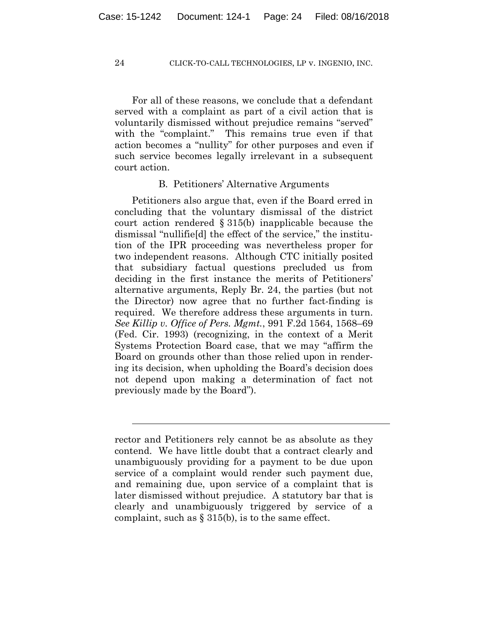For all of these reasons, we conclude that a defendant served with a complaint as part of a civil action that is voluntarily dismissed without prejudice remains "served" with the "complaint." This remains true even if that action becomes a "nullity" for other purposes and even if such service becomes legally irrelevant in a subsequent court action.

# B. Petitioners' Alternative Arguments

Petitioners also argue that, even if the Board erred in concluding that the voluntary dismissal of the district court action rendered § 315(b) inapplicable because the dismissal "nullifie[d] the effect of the service," the institution of the IPR proceeding was nevertheless proper for two independent reasons. Although CTC initially posited that subsidiary factual questions precluded us from deciding in the first instance the merits of Petitioners' alternative arguments, Reply Br. 24, the parties (but not the Director) now agree that no further fact-finding is required. We therefore address these arguments in turn. *See Killip v. Office of Pers. Mgmt.*, 991 F.2d 1564, 1568–69 (Fed. Cir. 1993) (recognizing, in the context of a Merit Systems Protection Board case, that we may "affirm the Board on grounds other than those relied upon in rendering its decision, when upholding the Board's decision does not depend upon making a determination of fact not previously made by the Board").

rector and Petitioners rely cannot be as absolute as they contend. We have little doubt that a contract clearly and unambiguously providing for a payment to be due upon service of a complaint would render such payment due, and remaining due, upon service of a complaint that is later dismissed without prejudice. A statutory bar that is clearly and unambiguously triggered by service of a complaint, such as  $\S 315(b)$ , is to the same effect.

l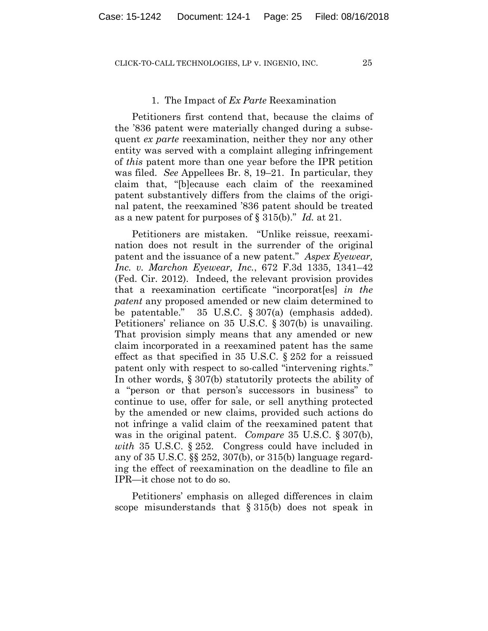## 1. The Impact of *Ex Parte* Reexamination

Petitioners first contend that, because the claims of the '836 patent were materially changed during a subsequent *ex parte* reexamination, neither they nor any other entity was served with a complaint alleging infringement of *this* patent more than one year before the IPR petition was filed. *See* Appellees Br. 8, 19–21. In particular, they claim that, "[b]ecause each claim of the reexamined patent substantively differs from the claims of the original patent, the reexamined '836 patent should be treated as a new patent for purposes of § 315(b)." *Id.* at 21.

Petitioners are mistaken. "Unlike reissue, reexamination does not result in the surrender of the original patent and the issuance of a new patent." *Aspex Eyewear, Inc. v. Marchon Eyewear, Inc.*, 672 F.3d 1335, 1341–42 (Fed. Cir. 2012). Indeed, the relevant provision provides that a reexamination certificate "incorporat[es] *in the patent* any proposed amended or new claim determined to be patentable." 35 U.S.C. § 307(a) (emphasis added). Petitioners' reliance on 35 U.S.C. § 307(b) is unavailing. That provision simply means that any amended or new claim incorporated in a reexamined patent has the same effect as that specified in 35 U.S.C. § 252 for a reissued patent only with respect to so-called "intervening rights." In other words, § 307(b) statutorily protects the ability of a "person or that person's successors in business" to continue to use, offer for sale, or sell anything protected by the amended or new claims, provided such actions do not infringe a valid claim of the reexamined patent that was in the original patent. *Compare* 35 U.S.C. § 307(b), *with* 35 U.S.C. § 252. Congress could have included in any of 35 U.S.C. §§ 252, 307(b), or 315(b) language regarding the effect of reexamination on the deadline to file an IPR—it chose not to do so.

Petitioners' emphasis on alleged differences in claim scope misunderstands that § 315(b) does not speak in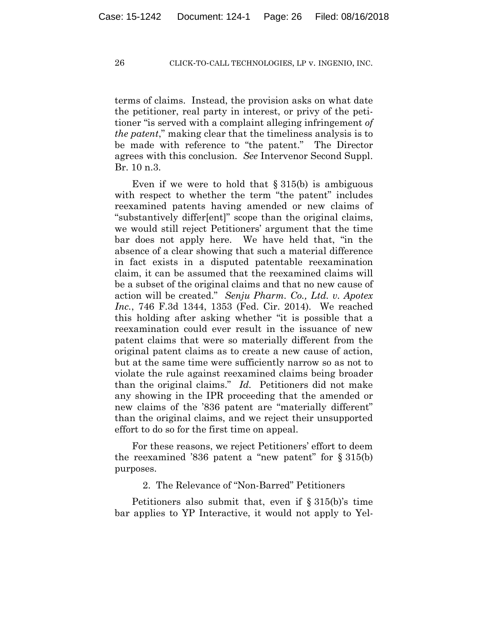terms of claims. Instead, the provision asks on what date the petitioner, real party in interest, or privy of the petitioner "is served with a complaint alleging infringement *of the patent*," making clear that the timeliness analysis is to be made with reference to "the patent." The Director agrees with this conclusion. *See* Intervenor Second Suppl. Br. 10 n.3.

Even if we were to hold that  $\S 315(b)$  is ambiguous with respect to whether the term "the patent" includes reexamined patents having amended or new claims of "substantively differ[ent]" scope than the original claims, we would still reject Petitioners' argument that the time bar does not apply here. We have held that, "in the absence of a clear showing that such a material difference in fact exists in a disputed patentable reexamination claim, it can be assumed that the reexamined claims will be a subset of the original claims and that no new cause of action will be created." *Senju Pharm. Co., Ltd. v. Apotex Inc.*, 746 F.3d 1344, 1353 (Fed. Cir. 2014). We reached this holding after asking whether "it is possible that a reexamination could ever result in the issuance of new patent claims that were so materially different from the original patent claims as to create a new cause of action, but at the same time were sufficiently narrow so as not to violate the rule against reexamined claims being broader than the original claims." *Id.* Petitioners did not make any showing in the IPR proceeding that the amended or new claims of the '836 patent are "materially different" than the original claims, and we reject their unsupported effort to do so for the first time on appeal.

For these reasons, we reject Petitioners' effort to deem the reexamined '836 patent a "new patent" for  $\S 315(b)$ purposes.

2. The Relevance of "Non-Barred" Petitioners

Petitioners also submit that, even if § 315(b)'s time bar applies to YP Interactive, it would not apply to Yel-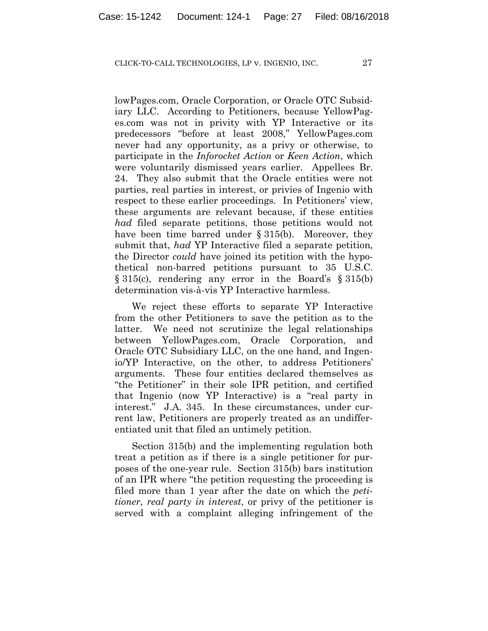lowPages.com, Oracle Corporation, or Oracle OTC Subsidiary LLC. According to Petitioners, because YellowPages.com was not in privity with YP Interactive or its predecessors "before at least 2008," YellowPages.com never had any opportunity, as a privy or otherwise, to participate in the *Inforocket Action* or *Keen Action*, which were voluntarily dismissed years earlier. Appellees Br. 24. They also submit that the Oracle entities were not parties, real parties in interest, or privies of Ingenio with respect to these earlier proceedings. In Petitioners' view, these arguments are relevant because, if these entities *had* filed separate petitions, those petitions would not have been time barred under § 315(b). Moreover, they submit that, *had* YP Interactive filed a separate petition, the Director *could* have joined its petition with the hypothetical non-barred petitions pursuant to 35 U.S.C. § 315(c), rendering any error in the Board's § 315(b) determination vis-à-vis YP Interactive harmless.

We reject these efforts to separate YP Interactive from the other Petitioners to save the petition as to the latter. We need not scrutinize the legal relationships between YellowPages.com, Oracle Corporation, and Oracle OTC Subsidiary LLC, on the one hand, and Ingenio/YP Interactive, on the other, to address Petitioners' arguments. These four entities declared themselves as "the Petitioner" in their sole IPR petition, and certified that Ingenio (now YP Interactive) is a "real party in interest." J.A. 345. In these circumstances, under current law, Petitioners are properly treated as an undifferentiated unit that filed an untimely petition.

Section 315(b) and the implementing regulation both treat a petition as if there is a single petitioner for purposes of the one-year rule. Section 315(b) bars institution of an IPR where "the petition requesting the proceeding is filed more than 1 year after the date on which the *petitioner*, *real party in interest*, or privy of the petitioner is served with a complaint alleging infringement of the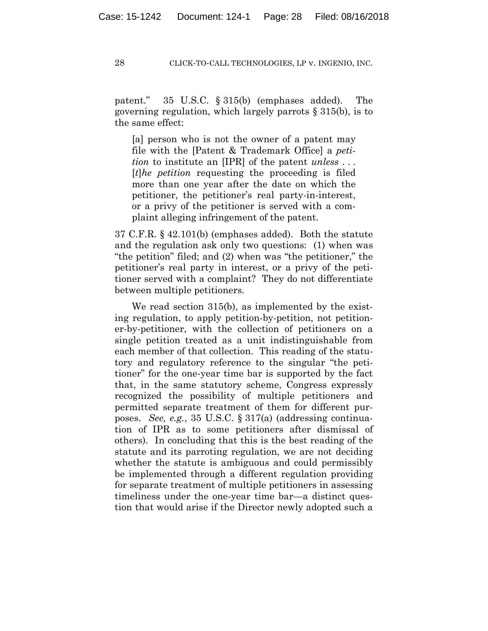patent." 35 U.S.C. § 315(b) (emphases added). The governing regulation, which largely parrots § 315(b), is to the same effect:

[a] person who is not the owner of a patent may file with the [Patent & Trademark Office] a *petition* to institute an [IPR] of the patent *unless* . . . [*t*]*he petition* requesting the proceeding is filed more than one year after the date on which the petitioner, the petitioner's real party-in-interest, or a privy of the petitioner is served with a complaint alleging infringement of the patent.

37 C.F.R. § 42.101(b) (emphases added). Both the statute and the regulation ask only two questions: (1) when was "the petition" filed; and (2) when was "the petitioner," the petitioner's real party in interest, or a privy of the petitioner served with a complaint? They do not differentiate between multiple petitioners.

We read section 315(b), as implemented by the existing regulation, to apply petition-by-petition, not petitioner-by-petitioner, with the collection of petitioners on a single petition treated as a unit indistinguishable from each member of that collection. This reading of the statutory and regulatory reference to the singular "the petitioner" for the one-year time bar is supported by the fact that, in the same statutory scheme, Congress expressly recognized the possibility of multiple petitioners and permitted separate treatment of them for different purposes. *See, e.g.*, 35 U.S.C. § 317(a) (addressing continuation of IPR as to some petitioners after dismissal of others). In concluding that this is the best reading of the statute and its parroting regulation, we are not deciding whether the statute is ambiguous and could permissibly be implemented through a different regulation providing for separate treatment of multiple petitioners in assessing timeliness under the one-year time bar—a distinct question that would arise if the Director newly adopted such a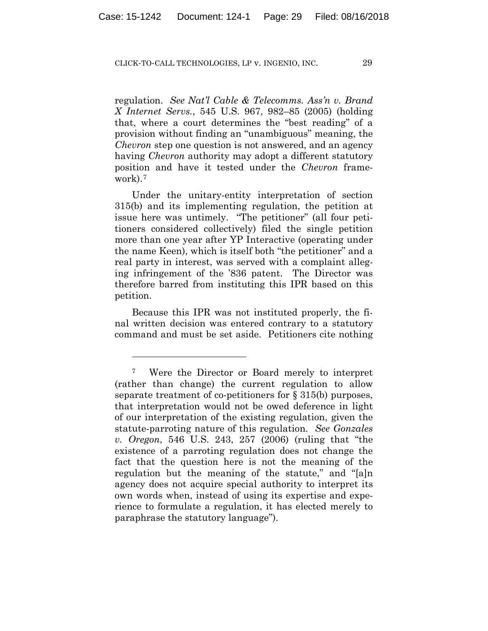regulation. *See Nat'l Cable & Telecomms. Ass'n v. Brand X Internet Servs.*, 545 U.S. 967, 982–85 (2005) (holding that, where a court determines the "best reading" of a provision without finding an "unambiguous" meaning, the *Chevron* step one question is not answered, and an agency having *Chevron* authority may adopt a different statutory position and have it tested under the *Chevron* framework).7

Under the unitary-entity interpretation of section 315(b) and its implementing regulation, the petition at issue here was untimely. "The petitioner" (all four petitioners considered collectively) filed the single petition more than one year after YP Interactive (operating under the name Keen), which is itself both "the petitioner" and a real party in interest, was served with a complaint alleging infringement of the '836 patent. The Director was therefore barred from instituting this IPR based on this petition.

Because this IPR was not instituted properly, the final written decision was entered contrary to a statutory command and must be set aside. Petitioners cite nothing

1

<sup>7</sup> Were the Director or Board merely to interpret (rather than change) the current regulation to allow separate treatment of co-petitioners for § 315(b) purposes, that interpretation would not be owed deference in light of our interpretation of the existing regulation, given the statute-parroting nature of this regulation. *See Gonzales v. Oregon*, 546 U.S. 243, 257 (2006) (ruling that "the existence of a parroting regulation does not change the fact that the question here is not the meaning of the regulation but the meaning of the statute," and "[a]n agency does not acquire special authority to interpret its own words when, instead of using its expertise and experience to formulate a regulation, it has elected merely to paraphrase the statutory language").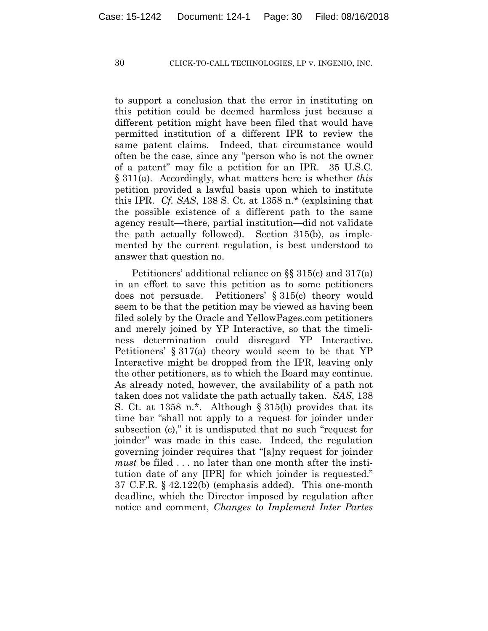to support a conclusion that the error in instituting on this petition could be deemed harmless just because a different petition might have been filed that would have permitted institution of a different IPR to review the same patent claims. Indeed, that circumstance would often be the case, since any "person who is not the owner of a patent" may file a petition for an IPR. 35 U.S.C. § 311(a). Accordingly, what matters here is whether *this* petition provided a lawful basis upon which to institute this IPR. *Cf. SAS*, 138 S. Ct. at 1358 n.\* (explaining that the possible existence of a different path to the same agency result—there, partial institution—did not validate the path actually followed). Section 315(b), as implemented by the current regulation, is best understood to answer that question no.

Petitioners' additional reliance on §§ 315(c) and 317(a) in an effort to save this petition as to some petitioners does not persuade. Petitioners' § 315(c) theory would seem to be that the petition may be viewed as having been filed solely by the Oracle and YellowPages.com petitioners and merely joined by YP Interactive, so that the timeliness determination could disregard YP Interactive. Petitioners' § 317(a) theory would seem to be that YP Interactive might be dropped from the IPR, leaving only the other petitioners, as to which the Board may continue. As already noted, however, the availability of a path not taken does not validate the path actually taken. *SAS*, 138 S. Ct. at 1358 n.\*. Although § 315(b) provides that its time bar "shall not apply to a request for joinder under subsection (c)," it is undisputed that no such "request for joinder" was made in this case. Indeed, the regulation governing joinder requires that "[a]ny request for joinder *must* be filed . . . no later than one month after the institution date of any [IPR] for which joinder is requested." 37 C.F.R. § 42.122(b) (emphasis added). This one-month deadline, which the Director imposed by regulation after notice and comment, *Changes to Implement Inter Partes*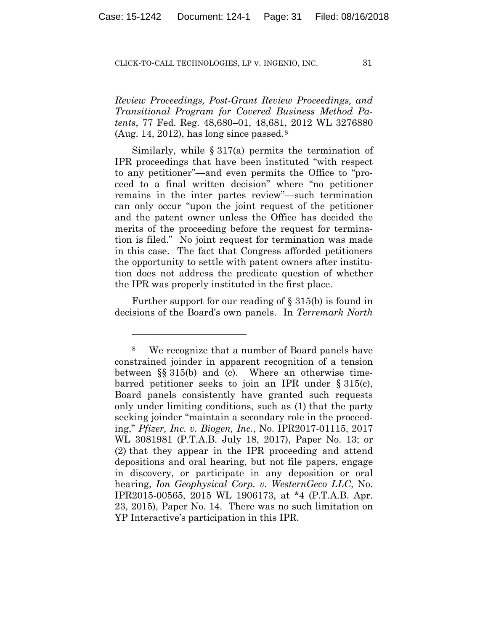*Review Proceedings, Post-Grant Review Proceedings, and Transitional Program for Covered Business Method Patents*, 77 Fed. Reg. 48,680–01, 48,681, 2012 WL 3276880 (Aug. 14, 2012), has long since passed. $8$ 

Similarly, while  $\S 317(a)$  permits the termination of IPR proceedings that have been instituted "with respect to any petitioner"—and even permits the Office to "proceed to a final written decision" where "no petitioner remains in the inter partes review"—such termination can only occur "upon the joint request of the petitioner and the patent owner unless the Office has decided the merits of the proceeding before the request for termination is filed." No joint request for termination was made in this case. The fact that Congress afforded petitioners the opportunity to settle with patent owners after institution does not address the predicate question of whether the IPR was properly instituted in the first place.

Further support for our reading of § 315(b) is found in decisions of the Board's own panels. In *Terremark North* 

<u>.</u>

<sup>8</sup> We recognize that a number of Board panels have constrained joinder in apparent recognition of a tension between §§ 315(b) and (c). Where an otherwise timebarred petitioner seeks to join an IPR under § 315(c), Board panels consistently have granted such requests only under limiting conditions, such as (1) that the party seeking joinder "maintain a secondary role in the proceeding," *Pfizer, Inc. v. Biogen, Inc.*, No. IPR2017-01115, 2017 WL 3081981 (P.T.A.B. July 18, 2017), Paper No. 13; or (2) that they appear in the IPR proceeding and attend depositions and oral hearing, but not file papers, engage in discovery, or participate in any deposition or oral hearing, *Ion Geophysical Corp. v. WesternGeco LLC*, No. IPR2015-00565, 2015 WL 1906173, at \*4 (P.T.A.B. Apr. 23, 2015), Paper No. 14. There was no such limitation on YP Interactive's participation in this IPR.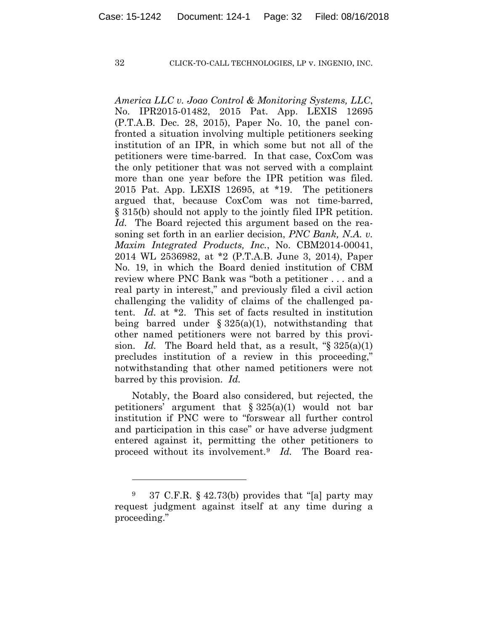1

#### 32 CLICK-TO-CALL TECHNOLOGIES, LP v. INGENIO, INC.

*America LLC v. Joao Control & Monitoring Systems, LLC*, No. IPR2015-01482, 2015 Pat. App. LEXIS 12695 (P.T.A.B. Dec. 28, 2015), Paper No. 10, the panel confronted a situation involving multiple petitioners seeking institution of an IPR, in which some but not all of the petitioners were time-barred. In that case, CoxCom was the only petitioner that was not served with a complaint more than one year before the IPR petition was filed. 2015 Pat. App. LEXIS 12695, at \*19. The petitioners argued that, because CoxCom was not time-barred, § 315(b) should not apply to the jointly filed IPR petition. *Id.* The Board rejected this argument based on the reasoning set forth in an earlier decision, *PNC Bank, N.A. v. Maxim Integrated Products, Inc.*, No. CBM2014-00041, 2014 WL 2536982, at \*2 (P.T.A.B. June 3, 2014), Paper No. 19, in which the Board denied institution of CBM review where PNC Bank was "both a petitioner . . . and a real party in interest," and previously filed a civil action challenging the validity of claims of the challenged patent. *Id.* at \*2. This set of facts resulted in institution being barred under  $\S 325(a)(1)$ , notwithstanding that other named petitioners were not barred by this provision. *Id.* The Board held that, as a result, "§ 325(a)(1) precludes institution of a review in this proceeding," notwithstanding that other named petitioners were not barred by this provision. *Id.*

Notably, the Board also considered, but rejected, the petitioners' argument that  $\S 325(a)(1)$  would not bar institution if PNC were to "forswear all further control and participation in this case" or have adverse judgment entered against it, permitting the other petitioners to proceed without its involvement.9 *Id.* The Board rea-

<sup>9 37</sup> C.F.R. § 42.73(b) provides that "[a] party may request judgment against itself at any time during a proceeding."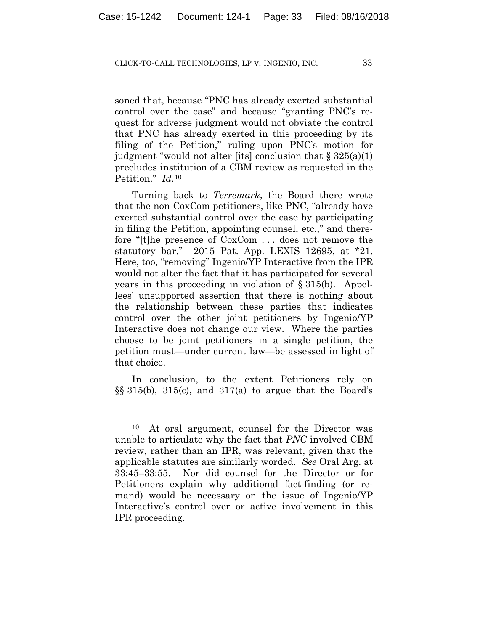soned that, because "PNC has already exerted substantial control over the case" and because "granting PNC's request for adverse judgment would not obviate the control that PNC has already exerted in this proceeding by its filing of the Petition," ruling upon PNC's motion for judgment "would not alter [its] conclusion that § 325(a)(1) precludes institution of a CBM review as requested in the Petition." *Id.*<sup>10</sup>

Turning back to *Terremark*, the Board there wrote that the non-CoxCom petitioners, like PNC, "already have exerted substantial control over the case by participating in filing the Petition, appointing counsel, etc.," and therefore "[t]he presence of CoxCom . . . does not remove the statutory bar." 2015 Pat. App. LEXIS 12695, at \*21. Here, too, "removing" Ingenio/YP Interactive from the IPR would not alter the fact that it has participated for several years in this proceeding in violation of § 315(b). Appellees' unsupported assertion that there is nothing about the relationship between these parties that indicates control over the other joint petitioners by Ingenio/YP Interactive does not change our view. Where the parties choose to be joint petitioners in a single petition, the petition must—under current law—be assessed in light of that choice.

In conclusion, to the extent Petitioners rely on  $\S$ § 315(b), 315(c), and 317(a) to argue that the Board's

1

<sup>10</sup> At oral argument, counsel for the Director was unable to articulate why the fact that *PNC* involved CBM review, rather than an IPR, was relevant, given that the applicable statutes are similarly worded. *See* Oral Arg. at 33:45–33:55. Nor did counsel for the Director or for Petitioners explain why additional fact-finding (or remand) would be necessary on the issue of Ingenio/YP Interactive's control over or active involvement in this IPR proceeding.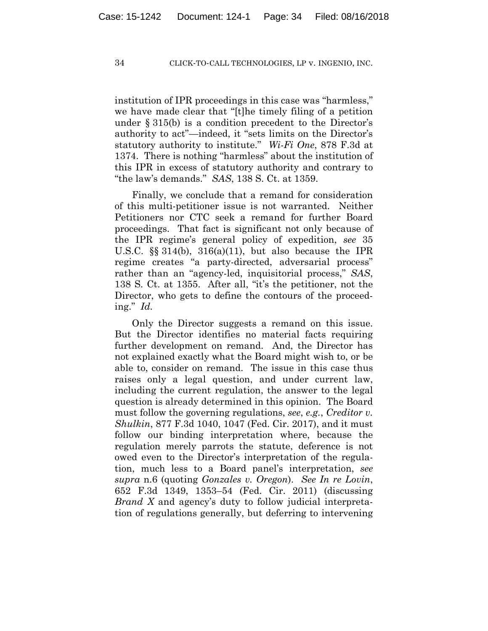institution of IPR proceedings in this case was "harmless," we have made clear that "[t]he timely filing of a petition under § 315(b) is a condition precedent to the Director's authority to act"—indeed, it "sets limits on the Director's statutory authority to institute." *Wi-Fi One*, 878 F.3d at 1374. There is nothing "harmless" about the institution of this IPR in excess of statutory authority and contrary to "the law's demands." *SAS*, 138 S. Ct. at 1359.

Finally, we conclude that a remand for consideration of this multi-petitioner issue is not warranted. Neither Petitioners nor CTC seek a remand for further Board proceedings. That fact is significant not only because of the IPR regime's general policy of expedition, *see* 35 U.S.C.  $\S$  314(b), 316(a)(11), but also because the IPR regime creates "a party-directed, adversarial process" rather than an "agency-led, inquisitorial process," *SAS*, 138 S. Ct. at 1355. After all, "it's the petitioner, not the Director, who gets to define the contours of the proceeding." *Id.*

Only the Director suggests a remand on this issue. But the Director identifies no material facts requiring further development on remand. And, the Director has not explained exactly what the Board might wish to, or be able to, consider on remand. The issue in this case thus raises only a legal question, and under current law, including the current regulation, the answer to the legal question is already determined in this opinion. The Board must follow the governing regulations, *see*, *e.g.*, *Creditor v. Shulkin*, 877 F.3d 1040, 1047 (Fed. Cir. 2017), and it must follow our binding interpretation where, because the regulation merely parrots the statute, deference is not owed even to the Director's interpretation of the regulation, much less to a Board panel's interpretation, *see supra* n.6 (quoting *Gonzales v. Oregon*). *See In re Lovin*, 652 F.3d 1349, 1353–54 (Fed. Cir. 2011) (discussing *Brand X* and agency's duty to follow judicial interpretation of regulations generally, but deferring to intervening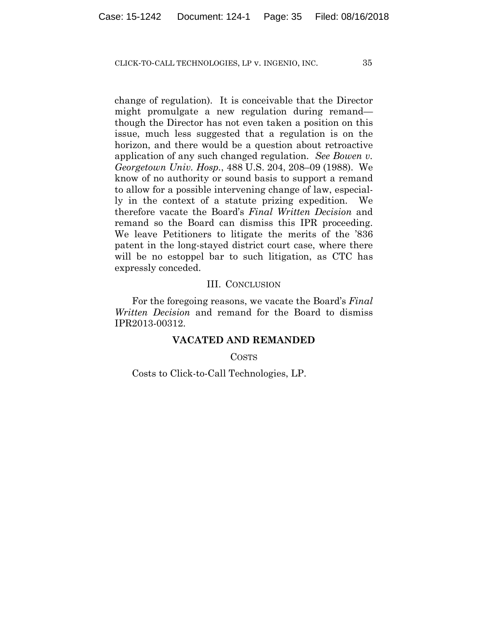change of regulation). It is conceivable that the Director might promulgate a new regulation during remand though the Director has not even taken a position on this issue, much less suggested that a regulation is on the horizon, and there would be a question about retroactive application of any such changed regulation. *See Bowen v. Georgetown Univ. Hosp.*, 488 U.S. 204, 208–09 (1988). We know of no authority or sound basis to support a remand to allow for a possible intervening change of law, especially in the context of a statute prizing expedition. We therefore vacate the Board's *Final Written Decision* and remand so the Board can dismiss this IPR proceeding. We leave Petitioners to litigate the merits of the '836 patent in the long-stayed district court case, where there will be no estoppel bar to such litigation, as CTC has expressly conceded.

## III. CONCLUSION

For the foregoing reasons, we vacate the Board's *Final Written Decision* and remand for the Board to dismiss IPR2013-00312.

# **VACATED AND REMANDED**

COSTS

Costs to Click-to-Call Technologies, LP.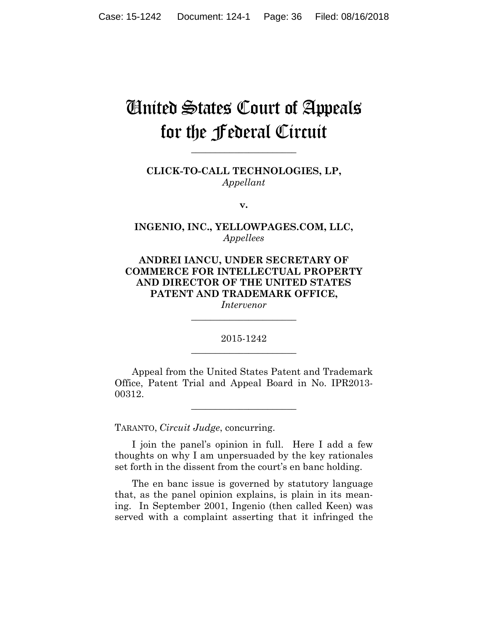# United States Court of Appeals for the Federal Circuit

**CLICK-TO-CALL TECHNOLOGIES, LP,** *Appellant*

**\_\_\_\_\_\_\_\_\_\_\_\_\_\_\_\_\_\_\_\_\_\_** 

**v.**

**INGENIO, INC., YELLOWPAGES.COM, LLC,** *Appellees*

**ANDREI IANCU, UNDER SECRETARY OF COMMERCE FOR INTELLECTUAL PROPERTY AND DIRECTOR OF THE UNITED STATES PATENT AND TRADEMARK OFFICE,**

*Intervenor* **\_\_\_\_\_\_\_\_\_\_\_\_\_\_\_\_\_\_\_\_\_\_** 

2015-1242 **\_\_\_\_\_\_\_\_\_\_\_\_\_\_\_\_\_\_\_\_\_\_** 

Appeal from the United States Patent and Trademark Office, Patent Trial and Appeal Board in No. IPR2013- 00312.

**\_\_\_\_\_\_\_\_\_\_\_\_\_\_\_\_\_\_\_\_\_\_** 

TARANTO, *Circuit Judge*, concurring.

I join the panel's opinion in full. Here I add a few thoughts on why I am unpersuaded by the key rationales set forth in the dissent from the court's en banc holding.

The en banc issue is governed by statutory language that, as the panel opinion explains, is plain in its meaning. In September 2001, Ingenio (then called Keen) was served with a complaint asserting that it infringed the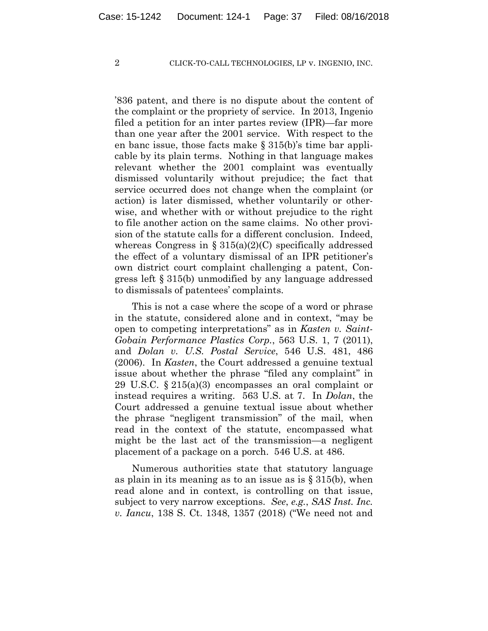'836 patent, and there is no dispute about the content of the complaint or the propriety of service. In 2013, Ingenio filed a petition for an inter partes review (IPR)—far more than one year after the 2001 service. With respect to the en banc issue, those facts make § 315(b)'s time bar applicable by its plain terms. Nothing in that language makes relevant whether the 2001 complaint was eventually dismissed voluntarily without prejudice; the fact that service occurred does not change when the complaint (or action) is later dismissed, whether voluntarily or otherwise, and whether with or without prejudice to the right to file another action on the same claims. No other provision of the statute calls for a different conclusion. Indeed, whereas Congress in  $\S 315(a)(2)(C)$  specifically addressed the effect of a voluntary dismissal of an IPR petitioner's own district court complaint challenging a patent, Congress left § 315(b) unmodified by any language addressed to dismissals of patentees' complaints.

This is not a case where the scope of a word or phrase in the statute, considered alone and in context, "may be open to competing interpretations" as in *Kasten v. Saint-Gobain Performance Plastics Corp.*, 563 U.S. 1, 7 (2011), and *Dolan v. U.S. Postal Service*, 546 U.S. 481, 486 (2006). In *Kasten*, the Court addressed a genuine textual issue about whether the phrase "filed any complaint" in 29 U.S.C. § 215(a)(3) encompasses an oral complaint or instead requires a writing. 563 U.S. at 7. In *Dolan*, the Court addressed a genuine textual issue about whether the phrase "negligent transmission" of the mail, when read in the context of the statute, encompassed what might be the last act of the transmission—a negligent placement of a package on a porch. 546 U.S. at 486.

Numerous authorities state that statutory language as plain in its meaning as to an issue as is  $\S 315(b)$ , when read alone and in context, is controlling on that issue, subject to very narrow exceptions. *See*, *e.g.*, *SAS Inst. Inc. v. Iancu*, 138 S. Ct. 1348, 1357 (2018) ("We need not and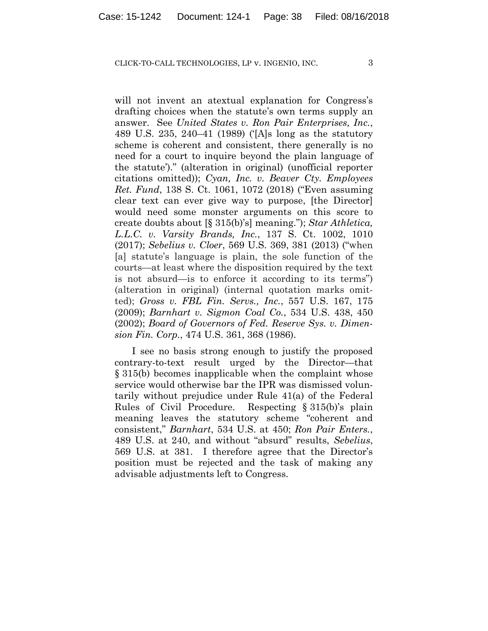will not invent an atextual explanation for Congress's drafting choices when the statute's own terms supply an answer. See *United States v. Ron Pair Enterprises, Inc.*, 489 U.S. 235, 240–41 (1989) ('[A]s long as the statutory scheme is coherent and consistent, there generally is no need for a court to inquire beyond the plain language of the statute')." (alteration in original) (unofficial reporter citations omitted)); *Cyan, Inc. v. Beaver Cty. Employees Ret. Fund*, 138 S. Ct. 1061, 1072 (2018) ("Even assuming clear text can ever give way to purpose, [the Director] would need some monster arguments on this score to create doubts about [§ 315(b)'s] meaning."); *Star Athletica, L.L.C. v. Varsity Brands, Inc.*, 137 S. Ct. 1002, 1010 (2017); *Sebelius v. Cloer*, 569 U.S. 369, 381 (2013) ("when [a] statute's language is plain, the sole function of the courts—at least where the disposition required by the text is not absurd—is to enforce it according to its terms") (alteration in original) (internal quotation marks omitted); *Gross v. FBL Fin. Servs., Inc.*, 557 U.S. 167, 175 (2009); *Barnhart v. Sigmon Coal Co.*, 534 U.S. 438, 450 (2002); *Board of Governors of Fed. Reserve Sys. v. Dimension Fin. Corp.*, 474 U.S. 361, 368 (1986).

I see no basis strong enough to justify the proposed contrary-to-text result urged by the Director—that § 315(b) becomes inapplicable when the complaint whose service would otherwise bar the IPR was dismissed voluntarily without prejudice under Rule 41(a) of the Federal Rules of Civil Procedure. Respecting § 315(b)'s plain meaning leaves the statutory scheme "coherent and consistent," *Barnhart*, 534 U.S. at 450; *Ron Pair Enters.*, 489 U.S. at 240, and without "absurd" results, *Sebelius*, 569 U.S. at 381. I therefore agree that the Director's position must be rejected and the task of making any advisable adjustments left to Congress.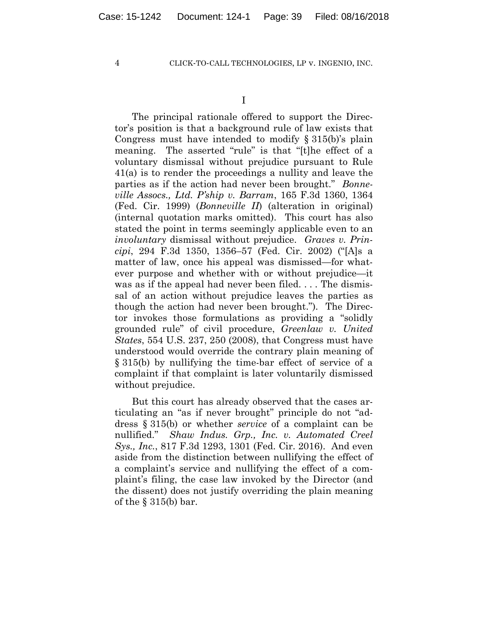The principal rationale offered to support the Director's position is that a background rule of law exists that Congress must have intended to modify  $\S 315(b)$ 's plain meaning. The asserted "rule" is that "[t]he effect of a voluntary dismissal without prejudice pursuant to Rule 41(a) is to render the proceedings a nullity and leave the parties as if the action had never been brought." *Bonneville Assocs., Ltd. P'ship v. Barram*, 165 F.3d 1360, 1364 (Fed. Cir. 1999) (*Bonneville II*) (alteration in original) (internal quotation marks omitted). This court has also stated the point in terms seemingly applicable even to an *involuntary* dismissal without prejudice. *Graves v. Principi*, 294 F.3d 1350, 1356–57 (Fed. Cir. 2002) ("[A]s a matter of law, once his appeal was dismissed—for whatever purpose and whether with or without prejudice—it was as if the appeal had never been filed. . . . The dismissal of an action without prejudice leaves the parties as though the action had never been brought."). The Director invokes those formulations as providing a "solidly grounded rule" of civil procedure, *Greenlaw v. United States*, 554 U.S. 237, 250 (2008), that Congress must have understood would override the contrary plain meaning of § 315(b) by nullifying the time-bar effect of service of a complaint if that complaint is later voluntarily dismissed without prejudice.

But this court has already observed that the cases articulating an "as if never brought" principle do not "address § 315(b) or whether *service* of a complaint can be nullified." *Shaw Indus. Grp., Inc. v. Automated Creel Sys., Inc.*, 817 F.3d 1293, 1301 (Fed. Cir. 2016). And even aside from the distinction between nullifying the effect of a complaint's service and nullifying the effect of a complaint's filing, the case law invoked by the Director (and the dissent) does not justify overriding the plain meaning of the § 315(b) bar.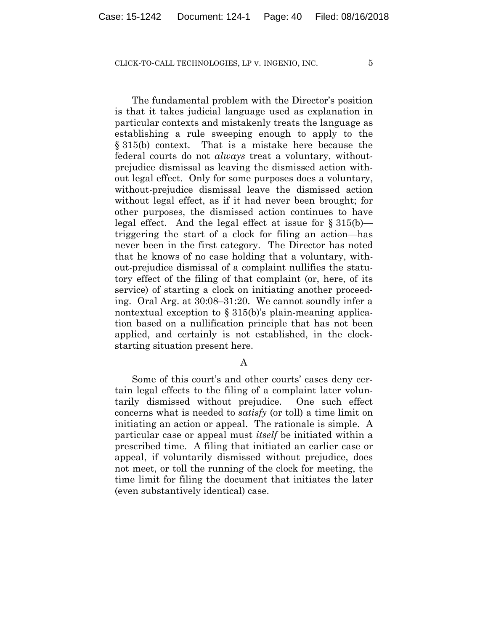The fundamental problem with the Director's position is that it takes judicial language used as explanation in particular contexts and mistakenly treats the language as establishing a rule sweeping enough to apply to the § 315(b) context. That is a mistake here because the federal courts do not *always* treat a voluntary, withoutprejudice dismissal as leaving the dismissed action without legal effect. Only for some purposes does a voluntary, without-prejudice dismissal leave the dismissed action without legal effect, as if it had never been brought; for other purposes, the dismissed action continues to have legal effect. And the legal effect at issue for § 315(b) triggering the start of a clock for filing an action—has never been in the first category. The Director has noted that he knows of no case holding that a voluntary, without-prejudice dismissal of a complaint nullifies the statutory effect of the filing of that complaint (or, here, of its service) of starting a clock on initiating another proceeding. Oral Arg. at 30:08–31:20. We cannot soundly infer a nontextual exception to § 315(b)'s plain-meaning application based on a nullification principle that has not been applied, and certainly is not established, in the clockstarting situation present here.

#### A

Some of this court's and other courts' cases deny certain legal effects to the filing of a complaint later voluntarily dismissed without prejudice. One such effect concerns what is needed to *satisfy* (or toll) a time limit on initiating an action or appeal. The rationale is simple. A particular case or appeal must *itself* be initiated within a prescribed time. A filing that initiated an earlier case or appeal, if voluntarily dismissed without prejudice, does not meet, or toll the running of the clock for meeting, the time limit for filing the document that initiates the later (even substantively identical) case.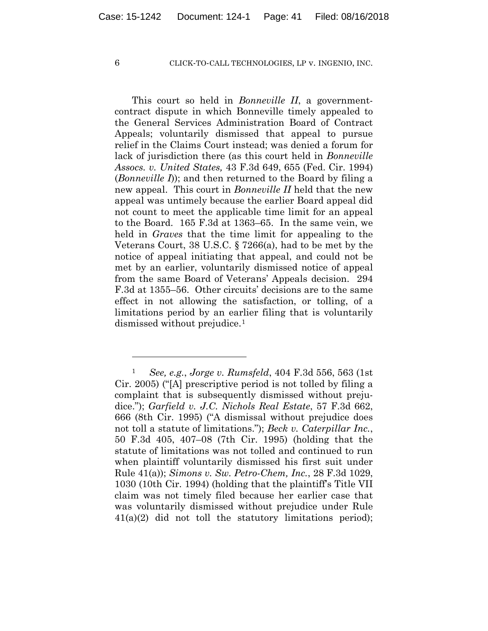1

## 6 CLICK-TO-CALL TECHNOLOGIES, LP v. INGENIO, INC.

This court so held in *Bonneville II*, a governmentcontract dispute in which Bonneville timely appealed to the General Services Administration Board of Contract Appeals; voluntarily dismissed that appeal to pursue relief in the Claims Court instead; was denied a forum for lack of jurisdiction there (as this court held in *Bonneville Assocs. v. United States,* 43 F.3d 649, 655 (Fed. Cir. 1994) (*Bonneville I*)); and then returned to the Board by filing a new appeal. This court in *Bonneville II* held that the new appeal was untimely because the earlier Board appeal did not count to meet the applicable time limit for an appeal to the Board. 165 F.3d at 1363–65. In the same vein, we held in *Graves* that the time limit for appealing to the Veterans Court, 38 U.S.C. § 7266(a), had to be met by the notice of appeal initiating that appeal, and could not be met by an earlier, voluntarily dismissed notice of appeal from the same Board of Veterans' Appeals decision. 294 F.3d at 1355–56. Other circuits' decisions are to the same effect in not allowing the satisfaction, or tolling, of a limitations period by an earlier filing that is voluntarily dismissed without prejudice.1

<sup>1</sup> *See, e.g.*, *Jorge v. Rumsfeld*, 404 F.3d 556, 563 (1st Cir. 2005) ("[A] prescriptive period is not tolled by filing a complaint that is subsequently dismissed without prejudice."); *Garfield v. J.C. Nichols Real Estate*, 57 F.3d 662, 666 (8th Cir. 1995) ("A dismissal without prejudice does not toll a statute of limitations."); *Beck v. Caterpillar Inc.*, 50 F.3d 405, 407–08 (7th Cir. 1995) (holding that the statute of limitations was not tolled and continued to run when plaintiff voluntarily dismissed his first suit under Rule 41(a)); *Simons v. Sw. Petro-Chem, Inc.*, 28 F.3d 1029, 1030 (10th Cir. 1994) (holding that the plaintiff's Title VII claim was not timely filed because her earlier case that was voluntarily dismissed without prejudice under Rule  $41(a)(2)$  did not toll the statutory limitations period);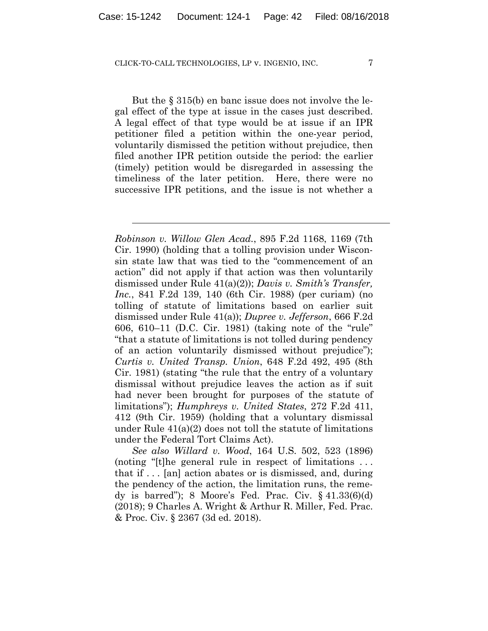l

But the § 315(b) en banc issue does not involve the legal effect of the type at issue in the cases just described. A legal effect of that type would be at issue if an IPR petitioner filed a petition within the one-year period, voluntarily dismissed the petition without prejudice, then filed another IPR petition outside the period: the earlier (timely) petition would be disregarded in assessing the timeliness of the later petition. Here, there were no successive IPR petitions, and the issue is not whether a

*Robinson v. Willow Glen Acad.*, 895 F.2d 1168, 1169 (7th Cir. 1990) (holding that a tolling provision under Wisconsin state law that was tied to the "commencement of an action" did not apply if that action was then voluntarily dismissed under Rule 41(a)(2)); *Davis v. Smith's Transfer, Inc.*, 841 F.2d 139, 140 (6th Cir. 1988) (per curiam) (no tolling of statute of limitations based on earlier suit dismissed under Rule 41(a)); *Dupree v. Jefferson*, 666 F.2d 606, 610–11 (D.C. Cir. 1981) (taking note of the "rule" "that a statute of limitations is not tolled during pendency of an action voluntarily dismissed without prejudice"); *Curtis v. United Transp. Union*, 648 F.2d 492, 495 (8th Cir. 1981) (stating "the rule that the entry of a voluntary dismissal without prejudice leaves the action as if suit had never been brought for purposes of the statute of limitations"); *Humphreys v. United States*, 272 F.2d 411, 412 (9th Cir. 1959) (holding that a voluntary dismissal under Rule 41(a)(2) does not toll the statute of limitations under the Federal Tort Claims Act).

*See also Willard v. Wood*, 164 U.S. 502, 523 (1896) (noting "[t]he general rule in respect of limitations . . . that if . . . [an] action abates or is dismissed, and, during the pendency of the action, the limitation runs, the remedy is barred"); 8 Moore's Fed. Prac. Civ. § 41.33(6)(d) (2018); 9 Charles A. Wright & Arthur R. Miller, Fed. Prac. & Proc. Civ. § 2367 (3d ed. 2018).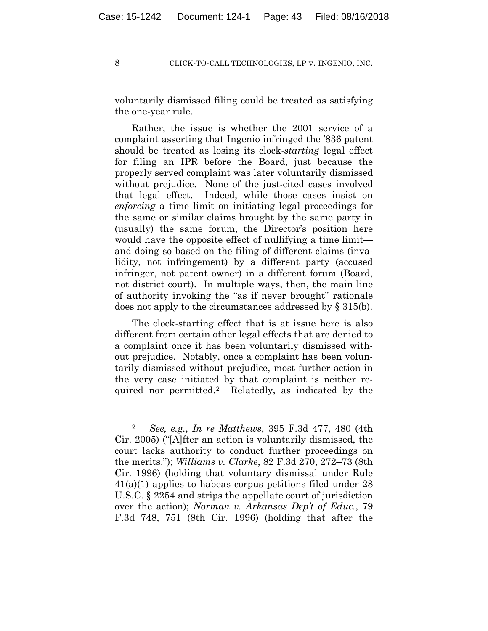voluntarily dismissed filing could be treated as satisfying the one-year rule.

Rather, the issue is whether the 2001 service of a complaint asserting that Ingenio infringed the '836 patent should be treated as losing its clock-*starting* legal effect for filing an IPR before the Board, just because the properly served complaint was later voluntarily dismissed without prejudice. None of the just-cited cases involved that legal effect. Indeed, while those cases insist on *enforcing* a time limit on initiating legal proceedings for the same or similar claims brought by the same party in (usually) the same forum, the Director's position here would have the opposite effect of nullifying a time limit and doing so based on the filing of different claims (invalidity, not infringement) by a different party (accused infringer, not patent owner) in a different forum (Board, not district court). In multiple ways, then, the main line of authority invoking the "as if never brought" rationale does not apply to the circumstances addressed by § 315(b).

The clock-starting effect that is at issue here is also different from certain other legal effects that are denied to a complaint once it has been voluntarily dismissed without prejudice. Notably, once a complaint has been voluntarily dismissed without prejudice, most further action in the very case initiated by that complaint is neither required nor permitted.2 Relatedly, as indicated by the

1

<sup>2</sup> *See, e.g.*, *In re Matthews*, 395 F.3d 477, 480 (4th Cir. 2005) ("[A]fter an action is voluntarily dismissed, the court lacks authority to conduct further proceedings on the merits."); *Williams v. Clarke*, 82 F.3d 270, 272–73 (8th Cir. 1996) (holding that voluntary dismissal under Rule 41(a)(1) applies to habeas corpus petitions filed under 28 U.S.C. § 2254 and strips the appellate court of jurisdiction over the action); *Norman v. Arkansas Dep't of Educ.*, 79 F.3d 748, 751 (8th Cir. 1996) (holding that after the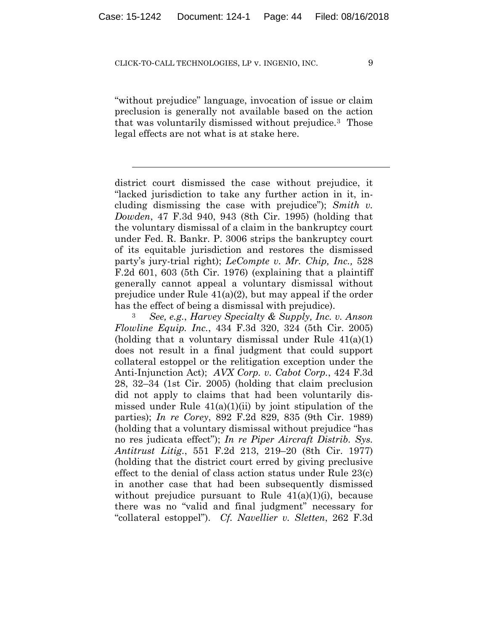$\overline{a}$ 

"without prejudice" language, invocation of issue or claim preclusion is generally not available based on the action that was voluntarily dismissed without prejudice.3 Those legal effects are not what is at stake here.

district court dismissed the case without prejudice, it "lacked jurisdiction to take any further action in it, including dismissing the case with prejudice"); *Smith v. Dowden*, 47 F.3d 940, 943 (8th Cir. 1995) (holding that the voluntary dismissal of a claim in the bankruptcy court under Fed. R. Bankr. P. 3006 strips the bankruptcy court of its equitable jurisdiction and restores the dismissed party's jury-trial right); *LeCompte v. Mr. Chip, Inc.,* 528 F.2d 601, 603 (5th Cir. 1976) (explaining that a plaintiff generally cannot appeal a voluntary dismissal without prejudice under Rule 41(a)(2), but may appeal if the order

has the effect of being a dismissal with prejudice). 3 *See, e.g.*, *Harvey Specialty & Supply, Inc. v. Anson Flowline Equip. Inc.*, 434 F.3d 320, 324 (5th Cir. 2005) (holding that a voluntary dismissal under Rule  $41(a)(1)$ ) does not result in a final judgment that could support collateral estoppel or the relitigation exception under the Anti-Injunction Act); *AVX Corp. v. Cabot Corp.*, 424 F.3d 28, 32–34 (1st Cir. 2005) (holding that claim preclusion did not apply to claims that had been voluntarily dismissed under Rule  $41(a)(1)(ii)$  by joint stipulation of the parties); *In re Corey*, 892 F.2d 829, 835 (9th Cir. 1989) (holding that a voluntary dismissal without prejudice "has no res judicata effect"); *In re Piper Aircraft Distrib. Sys. Antitrust Litig.*, 551 F.2d 213, 219–20 (8th Cir. 1977) (holding that the district court erred by giving preclusive effect to the denial of class action status under Rule 23(c) in another case that had been subsequently dismissed without prejudice pursuant to Rule  $41(a)(1)(i)$ , because there was no "valid and final judgment" necessary for "collateral estoppel"). *Cf. Navellier v. Sletten*, 262 F.3d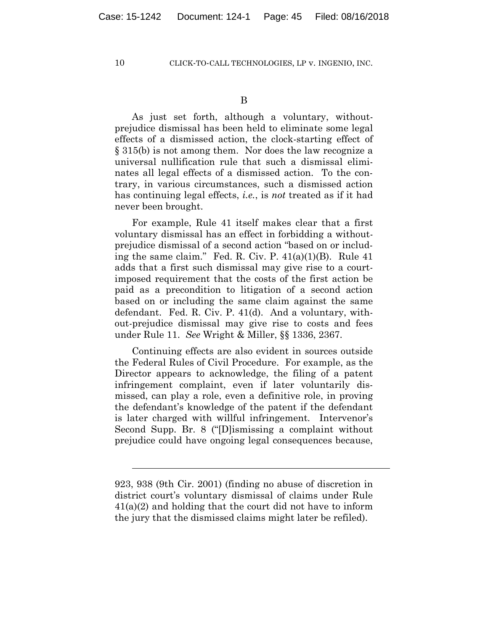$\overline{a}$ 

10 CLICK-TO-CALL TECHNOLOGIES, LP v. INGENIO, INC.

As just set forth, although a voluntary, withoutprejudice dismissal has been held to eliminate some legal effects of a dismissed action, the clock-starting effect of § 315(b) is not among them. Nor does the law recognize a universal nullification rule that such a dismissal eliminates all legal effects of a dismissed action. To the contrary, in various circumstances, such a dismissed action has continuing legal effects, *i.e.*, is *not* treated as if it had never been brought.

For example, Rule 41 itself makes clear that a first voluntary dismissal has an effect in forbidding a withoutprejudice dismissal of a second action "based on or including the same claim." Fed. R. Civ. P. 41(a)(1)(B). Rule 41 adds that a first such dismissal may give rise to a courtimposed requirement that the costs of the first action be paid as a precondition to litigation of a second action based on or including the same claim against the same defendant. Fed. R. Civ. P. 41(d). And a voluntary, without-prejudice dismissal may give rise to costs and fees under Rule 11. *See* Wright & Miller, §§ 1336, 2367.

Continuing effects are also evident in sources outside the Federal Rules of Civil Procedure. For example, as the Director appears to acknowledge, the filing of a patent infringement complaint, even if later voluntarily dismissed, can play a role, even a definitive role, in proving the defendant's knowledge of the patent if the defendant is later charged with willful infringement. Intervenor's Second Supp. Br. 8 ("[D]ismissing a complaint without prejudice could have ongoing legal consequences because,

<sup>923, 938</sup> (9th Cir. 2001) (finding no abuse of discretion in district court's voluntary dismissal of claims under Rule 41(a)(2) and holding that the court did not have to inform the jury that the dismissed claims might later be refiled).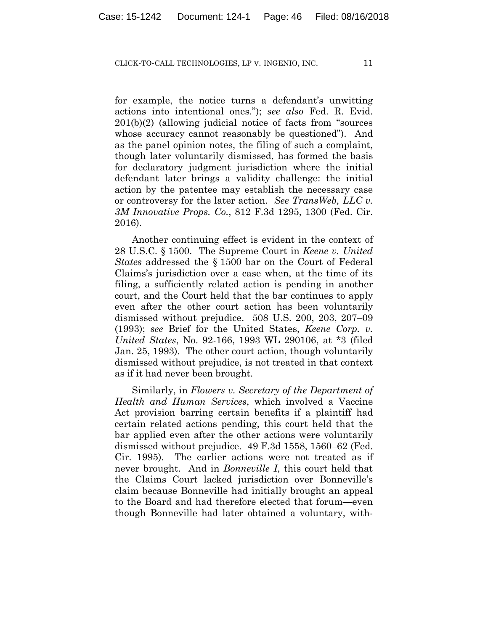for example, the notice turns a defendant's unwitting actions into intentional ones."); *see also* Fed. R. Evid. 201(b)(2) (allowing judicial notice of facts from "sources whose accuracy cannot reasonably be questioned"). And as the panel opinion notes, the filing of such a complaint, though later voluntarily dismissed, has formed the basis for declaratory judgment jurisdiction where the initial defendant later brings a validity challenge: the initial action by the patentee may establish the necessary case or controversy for the later action. *See TransWeb, LLC v. 3M Innovative Props. Co.*, 812 F.3d 1295, 1300 (Fed. Cir. 2016).

Another continuing effect is evident in the context of 28 U.S.C. § 1500. The Supreme Court in *Keene v. United States* addressed the § 1500 bar on the Court of Federal Claims's jurisdiction over a case when, at the time of its filing, a sufficiently related action is pending in another court, and the Court held that the bar continues to apply even after the other court action has been voluntarily dismissed without prejudice. 508 U.S. 200, 203, 207–09 (1993); *see* Brief for the United States, *Keene Corp. v. United States*, No. 92-166, 1993 WL 290106, at \*3 (filed Jan. 25, 1993). The other court action, though voluntarily dismissed without prejudice, is not treated in that context as if it had never been brought.

Similarly, in *Flowers v. Secretary of the Department of Health and Human Services*, which involved a Vaccine Act provision barring certain benefits if a plaintiff had certain related actions pending, this court held that the bar applied even after the other actions were voluntarily dismissed without prejudice. 49 F.3d 1558, 1560–62 (Fed. Cir. 1995). The earlier actions were not treated as if never brought. And in *Bonneville I*, this court held that the Claims Court lacked jurisdiction over Bonneville's claim because Bonneville had initially brought an appeal to the Board and had therefore elected that forum—even though Bonneville had later obtained a voluntary, with-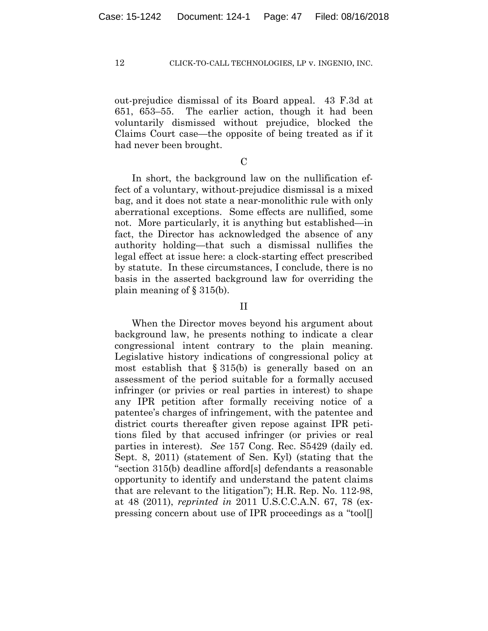out-prejudice dismissal of its Board appeal. 43 F.3d at 651, 653–55. The earlier action, though it had been voluntarily dismissed without prejudice, blocked the Claims Court case—the opposite of being treated as if it had never been brought.

# $\mathcal{C}$

In short, the background law on the nullification effect of a voluntary, without-prejudice dismissal is a mixed bag, and it does not state a near-monolithic rule with only aberrational exceptions. Some effects are nullified, some not. More particularly, it is anything but established—in fact, the Director has acknowledged the absence of any authority holding—that such a dismissal nullifies the legal effect at issue here: a clock-starting effect prescribed by statute. In these circumstances, I conclude, there is no basis in the asserted background law for overriding the plain meaning of § 315(b).

## II

When the Director moves beyond his argument about background law, he presents nothing to indicate a clear congressional intent contrary to the plain meaning. Legislative history indications of congressional policy at most establish that  $\S 315(b)$  is generally based on an assessment of the period suitable for a formally accused infringer (or privies or real parties in interest) to shape any IPR petition after formally receiving notice of a patentee's charges of infringement, with the patentee and district courts thereafter given repose against IPR petitions filed by that accused infringer (or privies or real parties in interest). *See* 157 Cong. Rec. S5429 (daily ed. Sept. 8, 2011) (statement of Sen. Kyl) (stating that the "section 315(b) deadline afford[s] defendants a reasonable opportunity to identify and understand the patent claims that are relevant to the litigation"); H.R. Rep. No. 112-98, at 48 (2011), *reprinted in* 2011 U.S.C.C.A.N. 67, 78 (expressing concern about use of IPR proceedings as a "tool[]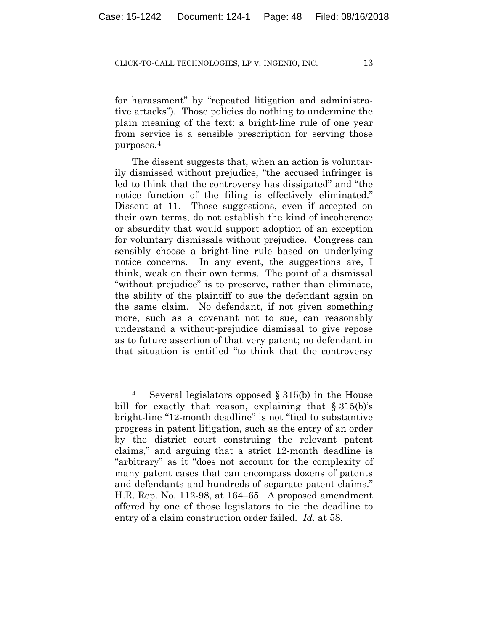for harassment" by "repeated litigation and administrative attacks"). Those policies do nothing to undermine the plain meaning of the text: a bright-line rule of one year from service is a sensible prescription for serving those purposes.4

The dissent suggests that, when an action is voluntarily dismissed without prejudice, "the accused infringer is led to think that the controversy has dissipated" and "the notice function of the filing is effectively eliminated." Dissent at 11. Those suggestions, even if accepted on their own terms, do not establish the kind of incoherence or absurdity that would support adoption of an exception for voluntary dismissals without prejudice. Congress can sensibly choose a bright-line rule based on underlying notice concerns. In any event, the suggestions are, I think, weak on their own terms. The point of a dismissal "without prejudice" is to preserve, rather than eliminate, the ability of the plaintiff to sue the defendant again on the same claim. No defendant, if not given something more, such as a covenant not to sue, can reasonably understand a without-prejudice dismissal to give repose as to future assertion of that very patent; no defendant in that situation is entitled "to think that the controversy

1

<sup>4</sup> Several legislators opposed § 315(b) in the House bill for exactly that reason, explaining that  $\S 315(b)$ 's bright-line "12-month deadline" is not "tied to substantive progress in patent litigation, such as the entry of an order by the district court construing the relevant patent claims," and arguing that a strict 12-month deadline is "arbitrary" as it "does not account for the complexity of many patent cases that can encompass dozens of patents and defendants and hundreds of separate patent claims." H.R. Rep. No. 112-98, at 164–65. A proposed amendment offered by one of those legislators to tie the deadline to entry of a claim construction order failed. *Id.* at 58.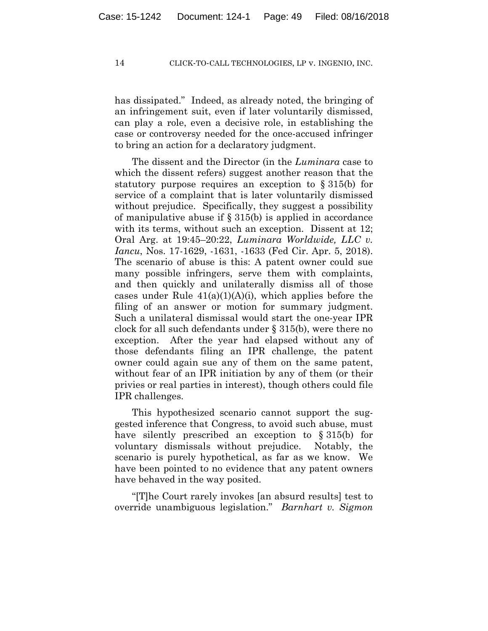has dissipated." Indeed, as already noted, the bringing of an infringement suit, even if later voluntarily dismissed, can play a role, even a decisive role, in establishing the case or controversy needed for the once-accused infringer to bring an action for a declaratory judgment.

The dissent and the Director (in the *Luminara* case to which the dissent refers) suggest another reason that the statutory purpose requires an exception to § 315(b) for service of a complaint that is later voluntarily dismissed without prejudice. Specifically, they suggest a possibility of manipulative abuse if  $\S 315(b)$  is applied in accordance with its terms, without such an exception. Dissent at 12; Oral Arg. at 19:45–20:22, *Luminara Worldwide, LLC v. Iancu*, Nos. 17-1629, -1631, -1633 (Fed Cir. Apr. 5, 2018). The scenario of abuse is this: A patent owner could sue many possible infringers, serve them with complaints, and then quickly and unilaterally dismiss all of those cases under Rule  $41(a)(1)(A)(i)$ , which applies before the filing of an answer or motion for summary judgment. Such a unilateral dismissal would start the one-year IPR clock for all such defendants under § 315(b), were there no exception. After the year had elapsed without any of those defendants filing an IPR challenge, the patent owner could again sue any of them on the same patent, without fear of an IPR initiation by any of them (or their privies or real parties in interest), though others could file IPR challenges.

This hypothesized scenario cannot support the suggested inference that Congress, to avoid such abuse, must have silently prescribed an exception to § 315(b) for voluntary dismissals without prejudice. Notably, the scenario is purely hypothetical, as far as we know. We have been pointed to no evidence that any patent owners have behaved in the way posited.

"[T]he Court rarely invokes [an absurd results] test to override unambiguous legislation." *Barnhart v. Sigmon*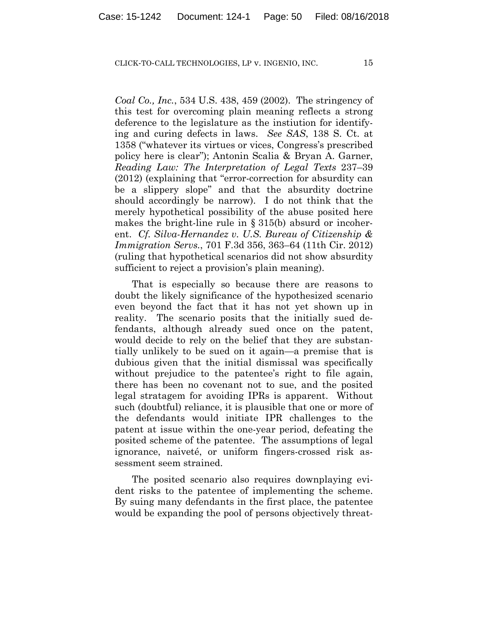*Coal Co., Inc.*, 534 U.S. 438, 459 (2002). The stringency of this test for overcoming plain meaning reflects a strong deference to the legislature as the instiution for identifying and curing defects in laws. *See SAS*, 138 S. Ct. at 1358 ("whatever its virtues or vices, Congress's prescribed policy here is clear"); Antonin Scalia & Bryan A. Garner, *Reading Law: The Interpretation of Legal Texts* 237–39 (2012) (explaining that "error-correction for absurdity can be a slippery slope" and that the absurdity doctrine should accordingly be narrow). I do not think that the merely hypothetical possibility of the abuse posited here makes the bright-line rule in  $\S 315(b)$  absurd or incoherent. *Cf. Silva-Hernandez v. U.S. Bureau of Citizenship & Immigration Servs.*, 701 F.3d 356, 363–64 (11th Cir. 2012) (ruling that hypothetical scenarios did not show absurdity sufficient to reject a provision's plain meaning).

That is especially so because there are reasons to doubt the likely significance of the hypothesized scenario even beyond the fact that it has not yet shown up in reality. The scenario posits that the initially sued defendants, although already sued once on the patent, would decide to rely on the belief that they are substantially unlikely to be sued on it again—a premise that is dubious given that the initial dismissal was specifically without prejudice to the patentee's right to file again, there has been no covenant not to sue, and the posited legal stratagem for avoiding IPRs is apparent. Without such (doubtful) reliance, it is plausible that one or more of the defendants would initiate IPR challenges to the patent at issue within the one-year period, defeating the posited scheme of the patentee. The assumptions of legal ignorance, naiveté, or uniform fingers-crossed risk assessment seem strained.

The posited scenario also requires downplaying evident risks to the patentee of implementing the scheme. By suing many defendants in the first place, the patentee would be expanding the pool of persons objectively threat-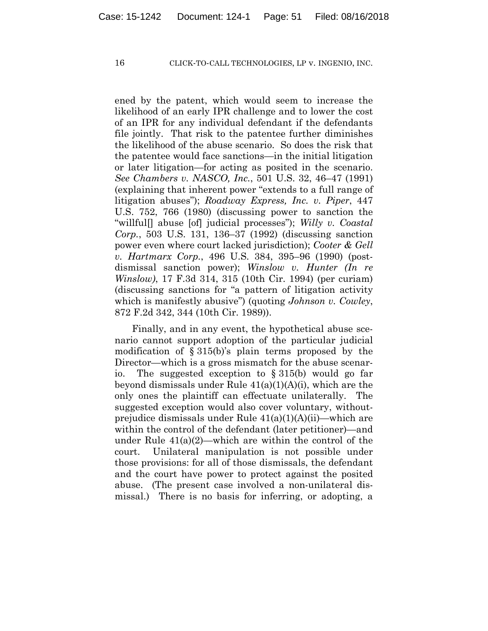ened by the patent, which would seem to increase the likelihood of an early IPR challenge and to lower the cost of an IPR for any individual defendant if the defendants file jointly. That risk to the patentee further diminishes the likelihood of the abuse scenario. So does the risk that the patentee would face sanctions—in the initial litigation or later litigation—for acting as posited in the scenario. *See Chambers v. NASCO, Inc.*, 501 U.S. 32, 46–47 (1991) (explaining that inherent power "extends to a full range of litigation abuses"); *Roadway Express, Inc. v. Piper*, 447 U.S. 752, 766 (1980) (discussing power to sanction the "willful[] abuse [of] judicial processes"); *Willy v. Coastal Corp.*, 503 U.S. 131, 136–37 (1992) (discussing sanction power even where court lacked jurisdiction); *Cooter & Gell v. Hartmarx Corp.*, 496 U.S. 384, 395–96 (1990) (postdismissal sanction power); *Winslow v. Hunter (In re Winslow)*, 17 F.3d 314, 315 (10th Cir. 1994) (per curiam) (discussing sanctions for "a pattern of litigation activity which is manifestly abusive") (quoting *Johnson v. Cowley*, 872 F.2d 342, 344 (10th Cir. 1989)).

Finally, and in any event, the hypothetical abuse scenario cannot support adoption of the particular judicial modification of § 315(b)'s plain terms proposed by the Director—which is a gross mismatch for the abuse scenario. The suggested exception to § 315(b) would go far beyond dismissals under Rule 41(a)(1)(A)(i), which are the only ones the plaintiff can effectuate unilaterally. The suggested exception would also cover voluntary, withoutprejudice dismissals under Rule 41(a)(1)(A)(ii)—which are within the control of the defendant (later petitioner)—and under Rule  $41(a)(2)$ —which are within the control of the court. Unilateral manipulation is not possible under those provisions: for all of those dismissals, the defendant and the court have power to protect against the posited abuse. (The present case involved a non-unilateral dismissal.) There is no basis for inferring, or adopting, a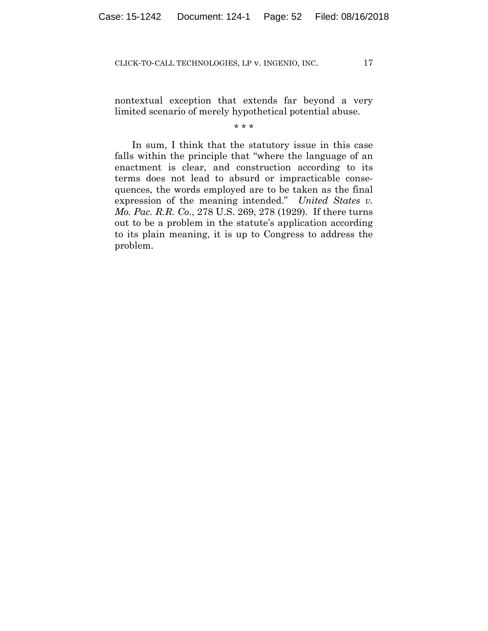nontextual exception that extends far beyond a very limited scenario of merely hypothetical potential abuse.

#### \* \* \*

In sum, I think that the statutory issue in this case falls within the principle that "where the language of an enactment is clear, and construction according to its terms does not lead to absurd or impracticable consequences, the words employed are to be taken as the final expression of the meaning intended." *United States v. Mo. Pac. R.R. Co.*, 278 U.S. 269, 278 (1929). If there turns out to be a problem in the statute's application according to its plain meaning, it is up to Congress to address the problem.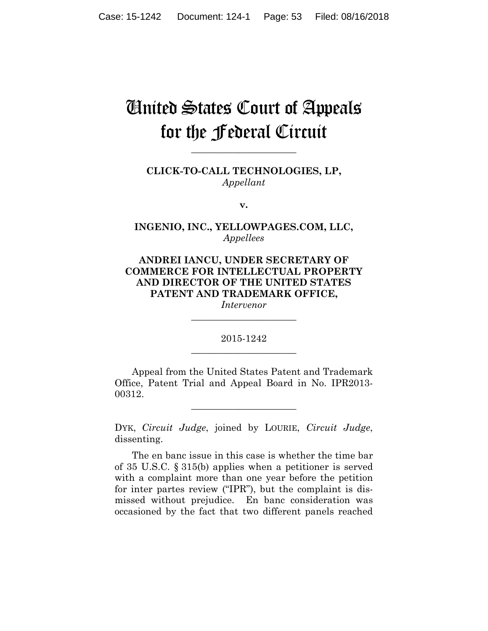# United States Court of Appeals for the Federal Circuit

**CLICK-TO-CALL TECHNOLOGIES, LP,** *Appellant*

**\_\_\_\_\_\_\_\_\_\_\_\_\_\_\_\_\_\_\_\_\_\_** 

**v.**

**INGENIO, INC., YELLOWPAGES.COM, LLC,** *Appellees*

**ANDREI IANCU, UNDER SECRETARY OF COMMERCE FOR INTELLECTUAL PROPERTY AND DIRECTOR OF THE UNITED STATES PATENT AND TRADEMARK OFFICE,**

*Intervenor* **\_\_\_\_\_\_\_\_\_\_\_\_\_\_\_\_\_\_\_\_\_\_** 

2015-1242 **\_\_\_\_\_\_\_\_\_\_\_\_\_\_\_\_\_\_\_\_\_\_** 

Appeal from the United States Patent and Trademark Office, Patent Trial and Appeal Board in No. IPR2013- 00312.

**\_\_\_\_\_\_\_\_\_\_\_\_\_\_\_\_\_\_\_\_\_\_** 

DYK, *Circuit Judge*, joined by LOURIE, *Circuit Judge*, dissenting.

The en banc issue in this case is whether the time bar of 35 U.S.C. § 315(b) applies when a petitioner is served with a complaint more than one year before the petition for inter partes review ("IPR"), but the complaint is dismissed without prejudice. En banc consideration was occasioned by the fact that two different panels reached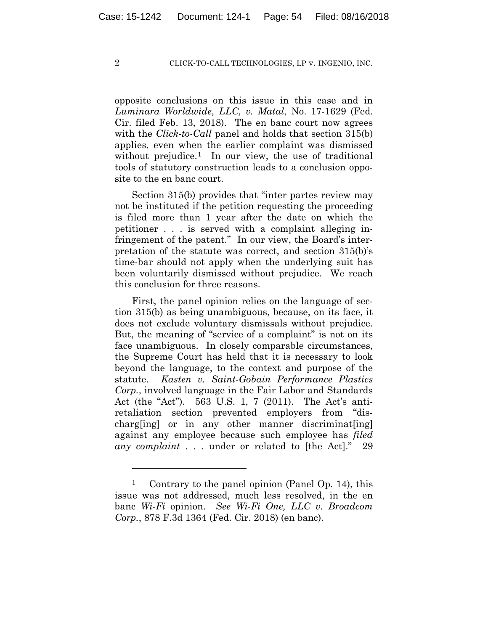opposite conclusions on this issue in this case and in *Luminara Worldwide, LLC, v. Matal*, No. 17-1629 (Fed. Cir. filed Feb. 13, 2018). The en banc court now agrees with the *Click-to-Call* panel and holds that section 315(b) applies, even when the earlier complaint was dismissed without prejudice.<sup>1</sup> In our view, the use of traditional tools of statutory construction leads to a conclusion opposite to the en banc court.

Section 315(b) provides that "inter partes review may not be instituted if the petition requesting the proceeding is filed more than 1 year after the date on which the petitioner . . . is served with a complaint alleging infringement of the patent." In our view, the Board's interpretation of the statute was correct, and section 315(b)'s time-bar should not apply when the underlying suit has been voluntarily dismissed without prejudice. We reach this conclusion for three reasons.

First, the panel opinion relies on the language of section 315(b) as being unambiguous, because, on its face, it does not exclude voluntary dismissals without prejudice. But, the meaning of "service of a complaint" is not on its face unambiguous. In closely comparable circumstances, the Supreme Court has held that it is necessary to look beyond the language, to the context and purpose of the statute. *Kasten v. Saint-Gobain Performance Plastics Corp.*, involved language in the Fair Labor and Standards Act (the "Act"). 563 U.S. 1, 7 (2011). The Act's antiretaliation section prevented employers from "discharg[ing] or in any other manner discriminat[ing] against any employee because such employee has *filed any complaint* . . . under or related to [the Act]." 29

<u>.</u>

<sup>1</sup> Contrary to the panel opinion (Panel Op. 14), this issue was not addressed, much less resolved, in the en banc *Wi-Fi* opinion. *See Wi-Fi One, LLC v. Broadcom Corp.*, 878 F.3d 1364 (Fed. Cir. 2018) (en banc).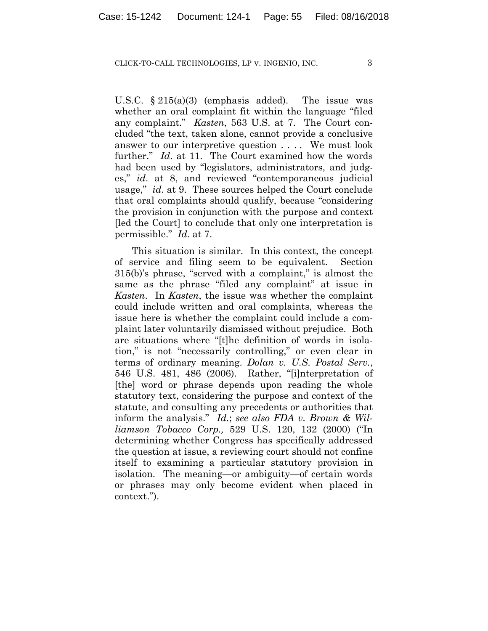U.S.C. § 215(a)(3) (emphasis added). The issue was whether an oral complaint fit within the language "filed any complaint." *Kasten*, 563 U.S. at 7. The Court concluded "the text, taken alone, cannot provide a conclusive answer to our interpretive question . . . . We must look further." *Id*. at 11. The Court examined how the words had been used by "legislators, administrators, and judges," *id*. at 8, and reviewed "contemporaneous judicial usage," *id*. at 9. These sources helped the Court conclude that oral complaints should qualify, because "considering the provision in conjunction with the purpose and context [led the Court] to conclude that only one interpretation is permissible." *Id.* at 7.

This situation is similar. In this context, the concept of service and filing seem to be equivalent. Section 315(b)'s phrase, "served with a complaint," is almost the same as the phrase "filed any complaint" at issue in *Kasten*. In *Kasten*, the issue was whether the complaint could include written and oral complaints, whereas the issue here is whether the complaint could include a complaint later voluntarily dismissed without prejudice. Both are situations where "[t]he definition of words in isolation," is not "necessarily controlling," or even clear in terms of ordinary meaning. *Dolan v. U.S. Postal Serv.*, 546 U.S. 481, 486 (2006). Rather, "[i]nterpretation of [the] word or phrase depends upon reading the whole statutory text, considering the purpose and context of the statute, and consulting any precedents or authorities that inform the analysis." *Id.*; *see also FDA v. Brown & Williamson Tobacco Corp.,* 529 U.S. 120, 132 (2000) ("In determining whether Congress has specifically addressed the question at issue, a reviewing court should not confine itself to examining a particular statutory provision in isolation. The meaning—or ambiguity—of certain words or phrases may only become evident when placed in context.").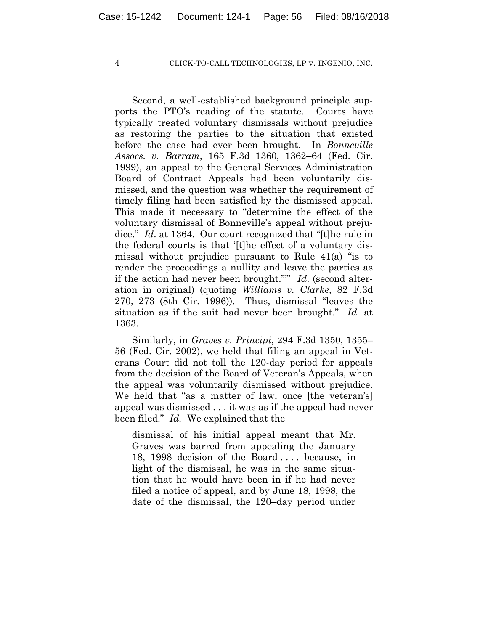Second, a well-established background principle supports the PTO's reading of the statute. Courts have typically treated voluntary dismissals without prejudice as restoring the parties to the situation that existed before the case had ever been brought. In *Bonneville Assocs. v. Barram*, 165 F.3d 1360, 1362–64 (Fed. Cir. 1999), an appeal to the General Services Administration Board of Contract Appeals had been voluntarily dismissed, and the question was whether the requirement of timely filing had been satisfied by the dismissed appeal. This made it necessary to "determine the effect of the voluntary dismissal of Bonneville's appeal without prejudice." *Id*. at 1364. Our court recognized that "[t]he rule in the federal courts is that '[t]he effect of a voluntary dismissal without prejudice pursuant to Rule 41(a) "is to render the proceedings a nullity and leave the parties as if the action had never been brought."'" *Id*. (second alteration in original) (quoting *Williams v. Clarke*, 82 F.3d 270, 273 (8th Cir. 1996)). Thus, dismissal "leaves the situation as if the suit had never been brought." *Id.* at 1363.

Similarly, in *Graves v. Principi*, 294 F.3d 1350, 1355– 56 (Fed. Cir. 2002), we held that filing an appeal in Veterans Court did not toll the 120-day period for appeals from the decision of the Board of Veteran's Appeals, when the appeal was voluntarily dismissed without prejudice. We held that "as a matter of law, once [the veteran's] appeal was dismissed . . . it was as if the appeal had never been filed." *Id.* We explained that the

dismissal of his initial appeal meant that Mr. Graves was barred from appealing the January 18, 1998 decision of the Board . . . . because, in light of the dismissal, he was in the same situation that he would have been in if he had never filed a notice of appeal, and by June 18, 1998, the date of the dismissal, the 120–day period under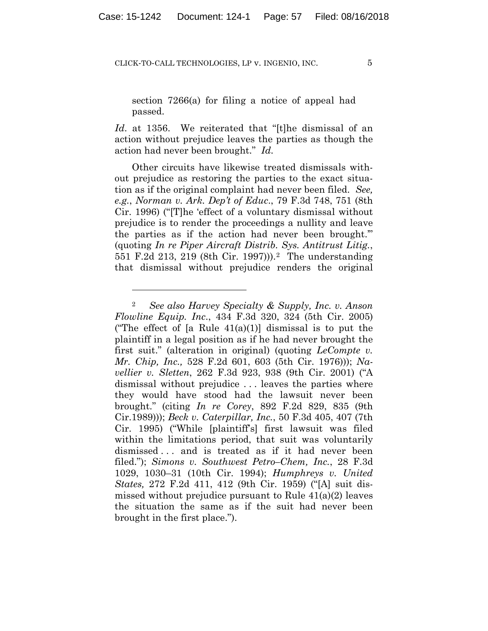section 7266(a) for filing a notice of appeal had passed.

*Id*. at 1356. We reiterated that "[t]he dismissal of an action without prejudice leaves the parties as though the action had never been brought." *Id*.

Other circuits have likewise treated dismissals without prejudice as restoring the parties to the exact situation as if the original complaint had never been filed. *See, e.g.*, *Norman v. Ark. Dep't of Educ*., 79 F.3d 748, 751 (8th Cir. 1996) ("[T]he 'effect of a voluntary dismissal without prejudice is to render the proceedings a nullity and leave the parties as if the action had never been brought.'" (quoting *In re Piper Aircraft Distrib. Sys. Antitrust Litig.*, 551 F.2d 213, 219 (8th Cir. 1997))).2 The understanding that dismissal without prejudice renders the original

1

<sup>2</sup> *See also Harvey Specialty & Supply, Inc. v. Anson Flowline Equip. Inc*., 434 F.3d 320, 324 (5th Cir. 2005) ("The effect of [a Rule  $41(a)(1)$ ] dismissal is to put the plaintiff in a legal position as if he had never brought the first suit." (alteration in original) (quoting *LeCompte v. Mr. Chip, Inc.,* 528 F.2d 601, 603 (5th Cir. 1976))); *Navellier v. Sletten*, 262 F.3d 923, 938 (9th Cir. 2001) ("A dismissal without prejudice . . . leaves the parties where they would have stood had the lawsuit never been brought." (citing *In re Corey*, 892 F.2d 829, 835 (9th Cir.1989))); *Beck v. Caterpillar, Inc.*, 50 F.3d 405, 407 (7th Cir. 1995) ("While [plaintiff's] first lawsuit was filed within the limitations period, that suit was voluntarily dismissed ... and is treated as if it had never been filed."); *Simons v. Southwest Petro–Chem, Inc.*, 28 F.3d 1029, 1030–31 (10th Cir. 1994); *Humphreys v. United States,* 272 F.2d 411, 412 (9th Cir. 1959) ("[A] suit dismissed without prejudice pursuant to Rule 41(a)(2) leaves the situation the same as if the suit had never been brought in the first place.").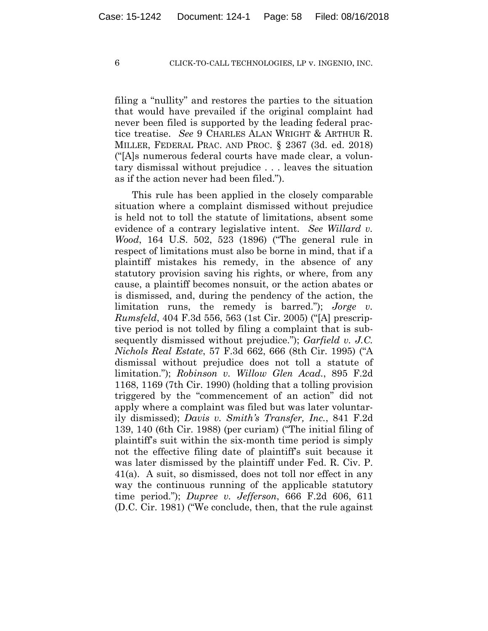filing a "nullity" and restores the parties to the situation that would have prevailed if the original complaint had never been filed is supported by the leading federal practice treatise. *See* 9 CHARLES ALAN WRIGHT & ARTHUR R. MILLER, FEDERAL PRAC. AND PROC. § 2367 (3d. ed. 2018) ("[A]s numerous federal courts have made clear, a voluntary dismissal without prejudice . . . leaves the situation as if the action never had been filed.").

This rule has been applied in the closely comparable situation where a complaint dismissed without prejudice is held not to toll the statute of limitations, absent some evidence of a contrary legislative intent. *See Willard v. Wood*, 164 U.S. 502, 523 (1896) ("The general rule in respect of limitations must also be borne in mind, that if a plaintiff mistakes his remedy, in the absence of any statutory provision saving his rights, or where, from any cause, a plaintiff becomes nonsuit, or the action abates or is dismissed, and, during the pendency of the action, the limitation runs, the remedy is barred."); *Jorge v. Rumsfeld*, 404 F.3d 556, 563 (1st Cir. 2005) ("[A] prescriptive period is not tolled by filing a complaint that is subsequently dismissed without prejudice."); *Garfield v. J.C. Nichols Real Estate*, 57 F.3d 662, 666 (8th Cir. 1995) ("A dismissal without prejudice does not toll a statute of limitation."); *Robinson v. Willow Glen Acad.*, 895 F.2d 1168, 1169 (7th Cir. 1990) (holding that a tolling provision triggered by the "commencement of an action" did not apply where a complaint was filed but was later voluntarily dismissed); *Davis v. Smith's Transfer, Inc.*, 841 F.2d 139, 140 (6th Cir. 1988) (per curiam) ("The initial filing of plaintiff's suit within the six-month time period is simply not the effective filing date of plaintiff's suit because it was later dismissed by the plaintiff under Fed. R. Civ. P. 41(a). A suit, so dismissed, does not toll nor effect in any way the continuous running of the applicable statutory time period."); *Dupree v. Jefferson*, 666 F.2d 606, 611 (D.C. Cir. 1981) ("We conclude, then, that the rule against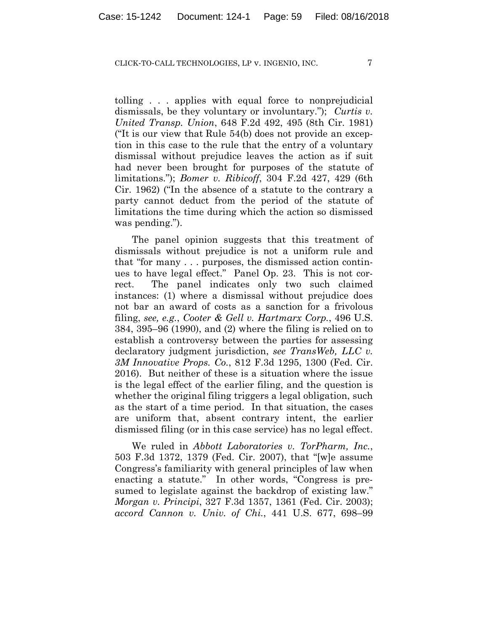tolling . . . applies with equal force to nonprejudicial dismissals, be they voluntary or involuntary."); *Curtis v. United Transp. Union*, 648 F.2d 492, 495 (8th Cir. 1981) ("It is our view that Rule 54(b) does not provide an exception in this case to the rule that the entry of a voluntary dismissal without prejudice leaves the action as if suit had never been brought for purposes of the statute of limitations."); *Bomer v. Ribicoff*, 304 F.2d 427, 429 (6th Cir. 1962) ("In the absence of a statute to the contrary a party cannot deduct from the period of the statute of limitations the time during which the action so dismissed was pending.").

The panel opinion suggests that this treatment of dismissals without prejudice is not a uniform rule and that "for many . . . purposes, the dismissed action continues to have legal effect." Panel Op. 23. This is not correct. The panel indicates only two such claimed instances: (1) where a dismissal without prejudice does not bar an award of costs as a sanction for a frivolous filing, *see, e.g.*, *Cooter & Gell v. Hartmarx Corp.*, 496 U.S. 384, 395–96 (1990), and (2) where the filing is relied on to establish a controversy between the parties for assessing declaratory judgment jurisdiction, *see TransWeb, LLC v. 3M Innovative Props. Co.*, 812 F.3d 1295, 1300 (Fed. Cir. 2016). But neither of these is a situation where the issue is the legal effect of the earlier filing, and the question is whether the original filing triggers a legal obligation, such as the start of a time period. In that situation, the cases are uniform that, absent contrary intent, the earlier dismissed filing (or in this case service) has no legal effect.

We ruled in *Abbott Laboratories v. TorPharm, Inc.*, 503 F.3d 1372, 1379 (Fed. Cir. 2007), that "[w]e assume Congress's familiarity with general principles of law when enacting a statute." In other words, "Congress is presumed to legislate against the backdrop of existing law." *Morgan v. Principi*, 327 F.3d 1357, 1361 (Fed. Cir. 2003); *accord Cannon v. Univ. of Chi.*, 441 U.S. 677, 698–99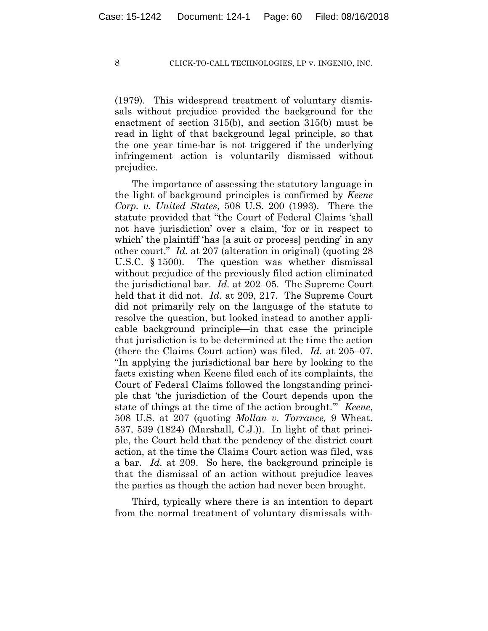(1979). This widespread treatment of voluntary dismissals without prejudice provided the background for the enactment of section 315(b), and section 315(b) must be read in light of that background legal principle, so that the one year time-bar is not triggered if the underlying infringement action is voluntarily dismissed without prejudice.

The importance of assessing the statutory language in the light of background principles is confirmed by *Keene Corp. v. United States*, 508 U.S. 200 (1993). There the statute provided that "the Court of Federal Claims 'shall not have jurisdiction' over a claim, 'for or in respect to which' the plaintiff 'has [a suit or process] pending' in any other court." *Id.* at 207 (alteration in original) (quoting 28 U.S.C. § 1500). The question was whether dismissal without prejudice of the previously filed action eliminated the jurisdictional bar. *Id.* at 202–05. The Supreme Court held that it did not. *Id.* at 209, 217. The Supreme Court did not primarily rely on the language of the statute to resolve the question, but looked instead to another applicable background principle—in that case the principle that jurisdiction is to be determined at the time the action (there the Claims Court action) was filed. *Id.* at 205–07. "In applying the jurisdictional bar here by looking to the facts existing when Keene filed each of its complaints, the Court of Federal Claims followed the longstanding principle that 'the jurisdiction of the Court depends upon the state of things at the time of the action brought.'" *Keene*, 508 U.S. at 207 (quoting *Mollan v. Torrance,* 9 Wheat. 537, 539 (1824) (Marshall, C.J.)). In light of that principle, the Court held that the pendency of the district court action, at the time the Claims Court action was filed, was a bar. *Id.* at 209. So here, the background principle is that the dismissal of an action without prejudice leaves the parties as though the action had never been brought.

Third, typically where there is an intention to depart from the normal treatment of voluntary dismissals with-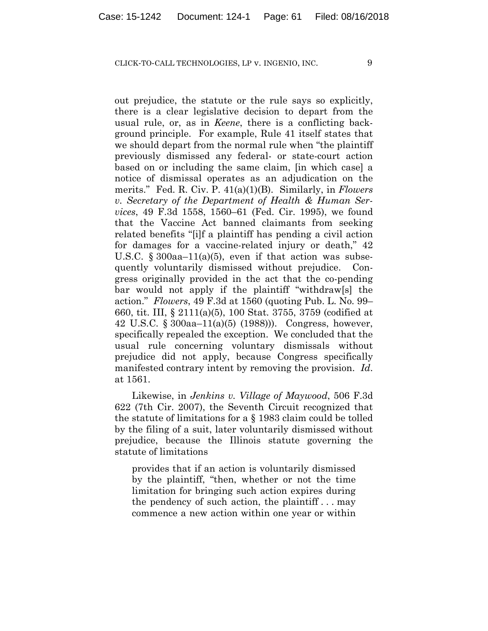out prejudice, the statute or the rule says so explicitly, there is a clear legislative decision to depart from the usual rule, or, as in *Keene*, there is a conflicting background principle. For example, Rule 41 itself states that we should depart from the normal rule when "the plaintiff previously dismissed any federal- or state-court action based on or including the same claim, [in which case] a notice of dismissal operates as an adjudication on the merits." Fed. R. Civ. P. 41(a)(1)(B). Similarly, in *Flowers v. Secretary of the Department of Health & Human Services*, 49 F.3d 1558, 1560–61 (Fed. Cir. 1995), we found that the Vaccine Act banned claimants from seeking related benefits "[i]f a plaintiff has pending a civil action for damages for a vaccine-related injury or death," 42 U.S.C.  $\S 300aa-11(a)(5)$ , even if that action was subsequently voluntarily dismissed without prejudice. Congress originally provided in the act that the co-pending bar would not apply if the plaintiff "withdraw[s] the action." *Flowers*, 49 F.3d at 1560 (quoting Pub. L. No. 99– 660, tit. III, § 2111(a)(5), 100 Stat. 3755, 3759 (codified at 42 U.S.C. § 300aa–11(a)(5) (1988))). Congress, however, specifically repealed the exception. We concluded that the usual rule concerning voluntary dismissals without prejudice did not apply, because Congress specifically manifested contrary intent by removing the provision. *Id*. at 1561.

Likewise, in *Jenkins v. Village of Maywood*, 506 F.3d 622 (7th Cir. 2007), the Seventh Circuit recognized that the statute of limitations for a § 1983 claim could be tolled by the filing of a suit, later voluntarily dismissed without prejudice, because the Illinois statute governing the statute of limitations

provides that if an action is voluntarily dismissed by the plaintiff, "then, whether or not the time limitation for bringing such action expires during the pendency of such action, the plaintiff . . . may commence a new action within one year or within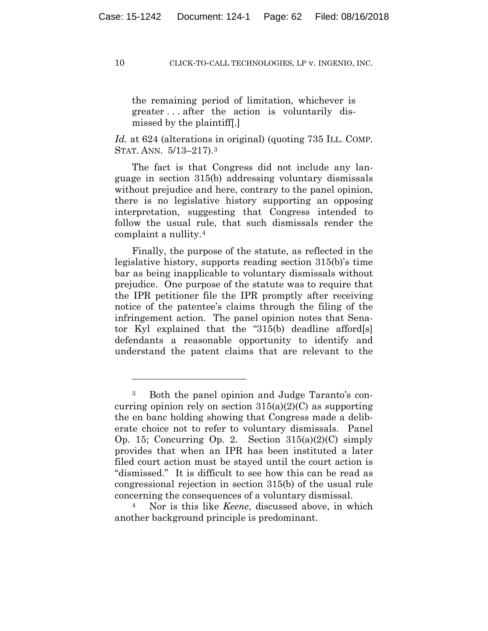the remaining period of limitation, whichever is greater . . . after the action is voluntarily dismissed by the plaintiff[.]

*Id.* at 624 (alterations in original) (quoting 735 ILL. COMP. STAT. ANN. 5/13–217).3

The fact is that Congress did not include any language in section 315(b) addressing voluntary dismissals without prejudice and here, contrary to the panel opinion, there is no legislative history supporting an opposing interpretation, suggesting that Congress intended to follow the usual rule, that such dismissals render the complaint a nullity.4

Finally, the purpose of the statute, as reflected in the legislative history, supports reading section 315(b)'s time bar as being inapplicable to voluntary dismissals without prejudice. One purpose of the statute was to require that the IPR petitioner file the IPR promptly after receiving notice of the patentee's claims through the filing of the infringement action. The panel opinion notes that Senator Kyl explained that the "315(b) deadline afford[s] defendants a reasonable opportunity to identify and understand the patent claims that are relevant to the

<sup>4</sup> Nor is this like *Keene*, discussed above, in which another background principle is predominant.

1

<sup>3</sup> Both the panel opinion and Judge Taranto's concurring opinion rely on section  $315(a)(2)(C)$  as supporting the en banc holding showing that Congress made a deliberate choice not to refer to voluntary dismissals. Panel Op. 15; Concurring Op. 2. Section  $315(a)(2)(C)$  simply provides that when an IPR has been instituted a later filed court action must be stayed until the court action is "dismissed." It is difficult to see how this can be read as congressional rejection in section 315(b) of the usual rule concerning the consequences of a voluntary dismissal.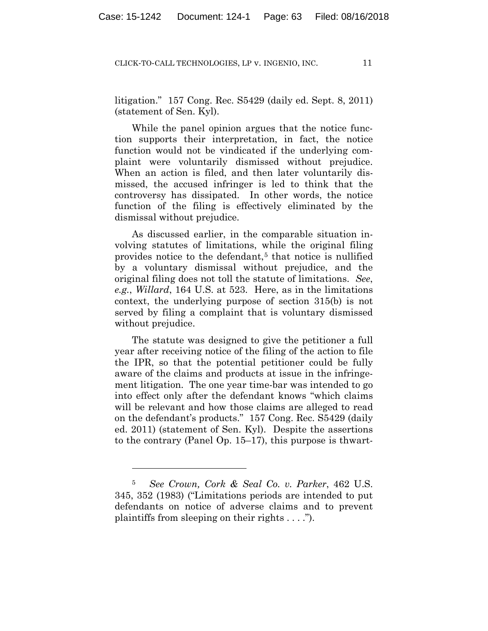litigation." 157 Cong. Rec. S5429 (daily ed. Sept. 8, 2011) (statement of Sen. Kyl).

While the panel opinion argues that the notice function supports their interpretation, in fact, the notice function would not be vindicated if the underlying complaint were voluntarily dismissed without prejudice. When an action is filed, and then later voluntarily dismissed, the accused infringer is led to think that the controversy has dissipated. In other words, the notice function of the filing is effectively eliminated by the dismissal without prejudice.

As discussed earlier, in the comparable situation involving statutes of limitations, while the original filing provides notice to the defendant,<sup>5</sup> that notice is nullified by a voluntary dismissal without prejudice, and the original filing does not toll the statute of limitations. *See*, *e.g.*, *Willard*, 164 U.S. at 523. Here, as in the limitations context, the underlying purpose of section 315(b) is not served by filing a complaint that is voluntary dismissed without prejudice.

The statute was designed to give the petitioner a full year after receiving notice of the filing of the action to file the IPR, so that the potential petitioner could be fully aware of the claims and products at issue in the infringement litigation. The one year time-bar was intended to go into effect only after the defendant knows "which claims will be relevant and how those claims are alleged to read on the defendant's products." 157 Cong. Rec. S5429 (daily ed. 2011) (statement of Sen. Kyl). Despite the assertions to the contrary (Panel Op. 15–17), this purpose is thwart-

<u>.</u>

<sup>5</sup> *See Crown, Cork & Seal Co. v. Parker*, 462 U.S. 345, 352 (1983) ("Limitations periods are intended to put defendants on notice of adverse claims and to prevent plaintiffs from sleeping on their rights  $\dots$ .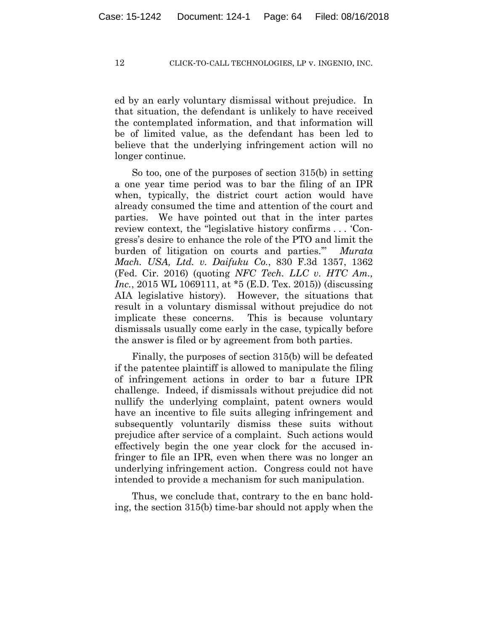ed by an early voluntary dismissal without prejudice. In that situation, the defendant is unlikely to have received the contemplated information, and that information will be of limited value, as the defendant has been led to believe that the underlying infringement action will no longer continue.

So too, one of the purposes of section 315(b) in setting a one year time period was to bar the filing of an IPR when, typically, the district court action would have already consumed the time and attention of the court and parties. We have pointed out that in the inter partes review context, the "legislative history confirms . . . 'Congress's desire to enhance the role of the PTO and limit the burden of litigation on courts and parties.'" *Murata Mach. USA, Ltd. v. Daifuku Co.*, 830 F.3d 1357, 1362 (Fed. Cir. 2016) (quoting *NFC Tech. LLC v. HTC Am., Inc.*, 2015 WL 1069111, at \*5 (E.D. Tex. 2015)) (discussing AIA legislative history). However, the situations that result in a voluntary dismissal without prejudice do not implicate these concerns. This is because voluntary dismissals usually come early in the case, typically before the answer is filed or by agreement from both parties.

Finally, the purposes of section 315(b) will be defeated if the patentee plaintiff is allowed to manipulate the filing of infringement actions in order to bar a future IPR challenge. Indeed, if dismissals without prejudice did not nullify the underlying complaint, patent owners would have an incentive to file suits alleging infringement and subsequently voluntarily dismiss these suits without prejudice after service of a complaint. Such actions would effectively begin the one year clock for the accused infringer to file an IPR, even when there was no longer an underlying infringement action. Congress could not have intended to provide a mechanism for such manipulation.

Thus, we conclude that, contrary to the en banc holding, the section 315(b) time-bar should not apply when the